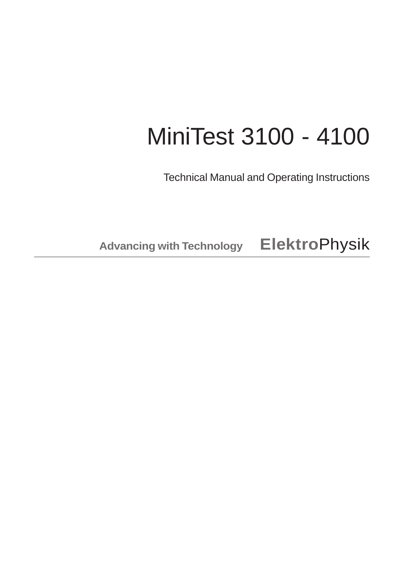# MiniTest 3100 - 4100

Technical Manual and Operating Instructions

**Advancing with Technology Elektro**Physik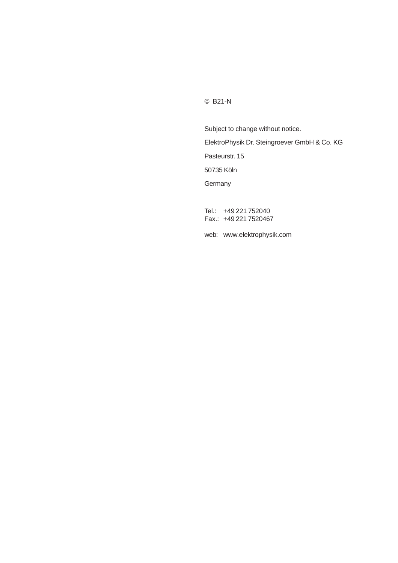© B21-N

Subject to change without notice. ElektroPhysik Dr. Steingroever GmbH & Co. KG Pasteurstr. 15 50735 Köln **Germany** Tel.: +49 221 752040 Fax.: +49 221 7520467 web: www.elektrophysik.com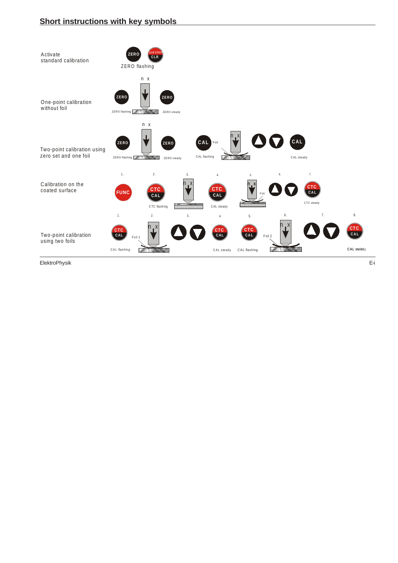

ElektroPhysik E-i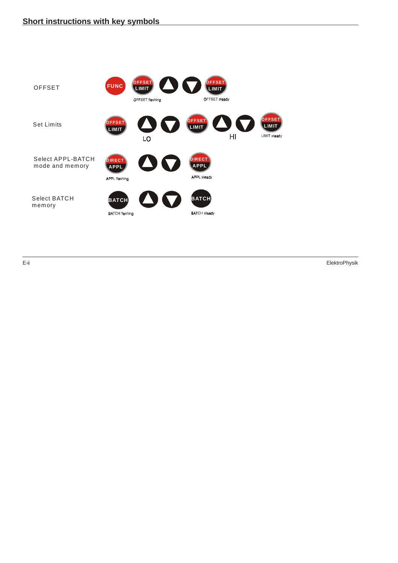

E-ii ElektroPhysik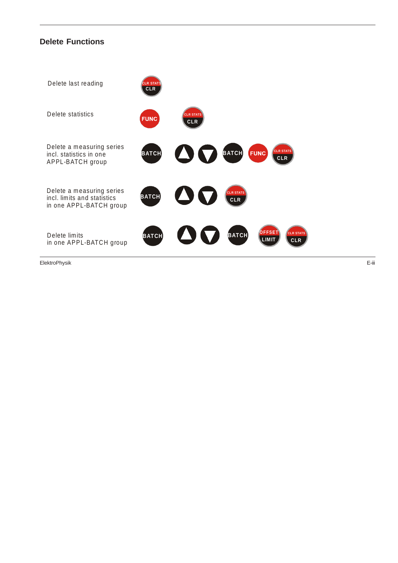# **Delete Functions**



ElektroPhysik E-iii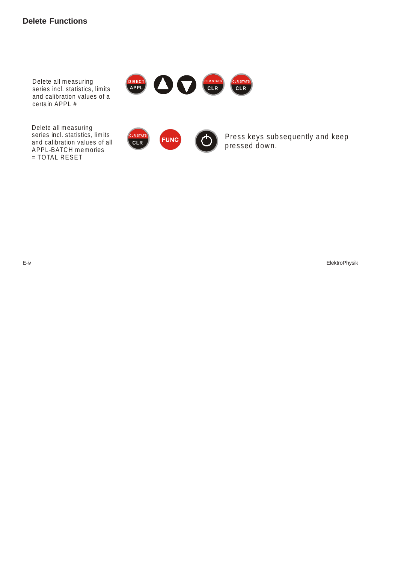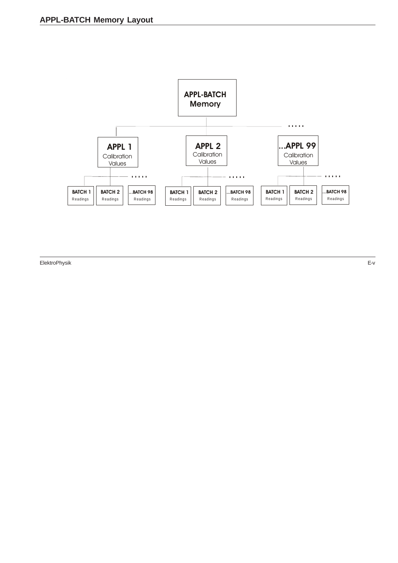

ElektroPhysik E-v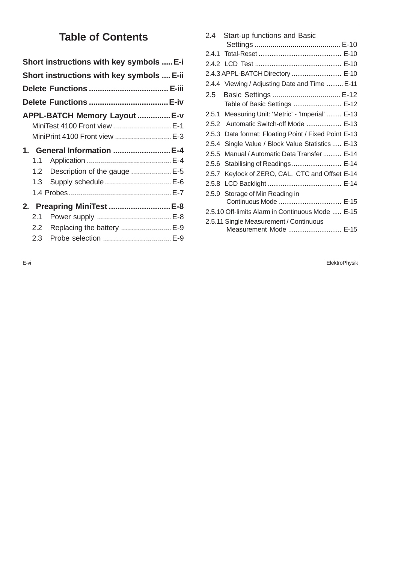# **Table of Contents**

| Short instructions with key symbols  E-i                                                              |  |
|-------------------------------------------------------------------------------------------------------|--|
| Short instructions with key symbols  E-ii                                                             |  |
|                                                                                                       |  |
|                                                                                                       |  |
| APPL-BATCH Memory Layout  E-v<br>MiniTest 4100 Front view  E-1<br>MiniPrint 4100 Front view  E-3      |  |
| 1. General Information E-4<br>1.1<br>1.2 Description of the gauge  E-5<br>Supply schedule  E-6<br>1.3 |  |
| 2. Preapring MiniTest  E-8<br>2.1<br>Replacing the battery  E-9<br>2.2<br>Probe selection  E-9<br>2.3 |  |

| 2.4<br>Start-up functions and Basic                     |
|---------------------------------------------------------|
|                                                         |
|                                                         |
|                                                         |
| 2.4.3 APPL-BATCH Directory  E-10                        |
| 2.4.4 Viewing / Adjusting Date and Time  E-11           |
| Basic Settings  E-12<br>2.5                             |
| Table of Basic Settings  E-12                           |
| Measuring Unit: 'Metric' - 'Imperial'  E-13<br>2.5.1    |
| 2.5.2 Automatic Switch-off Mode  E-13                   |
| Data format: Floating Point / Fixed Point E-13<br>2.5.3 |
| 2.5.4<br>Single Value / Block Value Statistics  E-13    |
| Manual / Automatic Data Transfer  E-14<br>2.5.5         |
| Stabilising of Readings  E-14<br>2.5.6                  |
| Keylock of ZERO, CAL, CTC and Offset E-14<br>2.5.7      |
| 2.5.8                                                   |
| Storage of Min Reading in<br>2.5.9                      |
| Continuous Mode  E-15                                   |
| 2.5.10 Off-limits Alarm in Continuous Mode  E-15        |
| 2.5.11 Single Measurement / Continuous                  |
| Measurement Mode  E-15                                  |

E-vi ElektroPhysik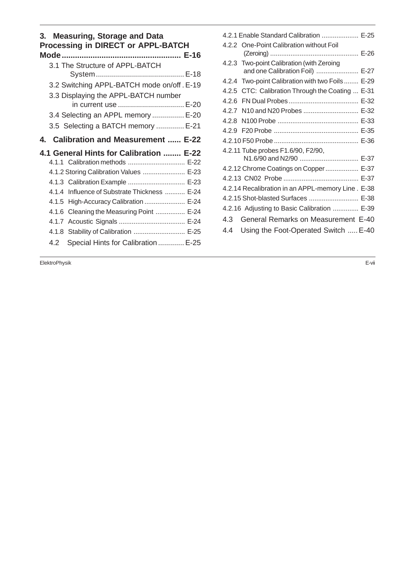# **3. Measuring, Storage and Data Processing in DIRECT or APPL-BATCH**

| 3.1 The Structure of APPL-BATCH                              |
|--------------------------------------------------------------|
|                                                              |
| 3.2 Switching APPL-BATCH mode on/off . E-19                  |
| 3.3 Displaying the APPL-BATCH number<br>in current use  E-20 |
| 3.4 Selecting an APPL memory  E-20                           |
| 3.5 Selecting a BATCH memory  E-21                           |
| 4. Calibration and Measurement  E-22                         |
|                                                              |
| 4.1 General Hints for Calibration  E-22                      |
| 4.1.1 Calibration methods  E-22                              |
| 4.1.2 Storing Calibration Values  E-23                       |
| 4.1.3 Calibration Example  E-23                              |
| 4.1.4 Influence of Substrate Thickness  E-24                 |
| 4.1.5 High-Accuracy Calibration  E-24                        |
| 4.1.6 Cleaning the Measuring Point  E-24                     |
|                                                              |
| 4.1.8 Stability of Calibration  E-25                         |

| 4.2.1 Enable Standard Calibration  E-25           |  |
|---------------------------------------------------|--|
| 4.2.2 One-Point Calibration without Foil          |  |
|                                                   |  |
| 4.2.3 Two-point Calibration (with Zeroing         |  |
| and one Calibration Foil)  E-27                   |  |
| 4.2.4 Two-point Calibration with two Foils  E-29  |  |
| 4.2.5 CTC: Calibration Through the Coating  E-31  |  |
|                                                   |  |
| 4.2.7 N10 and N20 Probes  E-32                    |  |
|                                                   |  |
|                                                   |  |
|                                                   |  |
| 4.2.11 Tube probes F1.6/90, F2/90,                |  |
| N1.6/90 and N2/90  E-37                           |  |
| 4.2.12 Chrome Coatings on Copper  E-37            |  |
|                                                   |  |
| 4.2.14 Recalibration in an APPL-memory Line. E-38 |  |
| 4.2.15 Shot-blasted Surfaces  E-38                |  |
| 4.2.16 Adjusting to Basic Calibration  E-39       |  |
| General Remarks on Measurement E-40<br>4.3        |  |
| Using the Foot-Operated Switch  E-40<br>44        |  |
|                                                   |  |

ElektroPhysik E-vii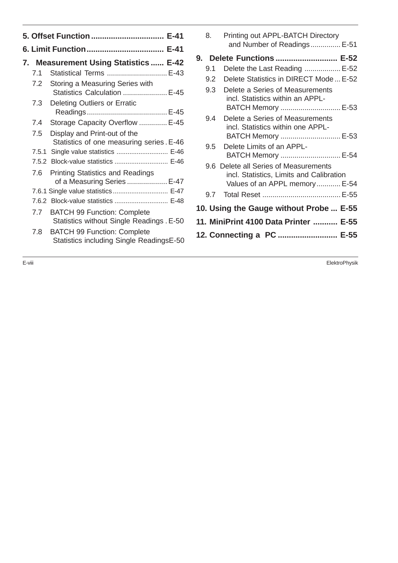| 7. Measurement Using Statistics  E-42<br>Statistical Terms  E-43<br>7.1<br>7.2<br>Storing a Measuring Series with<br>Statistics Calculation  E-45<br>7.3<br><b>Deleting Outliers or Erratic</b><br>Storage Capacity Overflow  E-45<br>7.4<br>7.5<br>Display and Print-out of the<br>Statistics of one measuring series. E-46<br>7.5.1 Single value statistics  E-46<br>7.5.2 Block-value statistics  E-46<br><b>Printing Statistics and Readings</b><br>7.6<br>of a Measuring Series  E-47<br>7.6.2 Block-value statistics  E-48<br><b>BATCH 99 Function: Complete</b><br>7.7<br>Statistics without Single Readings . E-50<br><b>BATCH 99 Function: Complete</b><br>7.8<br>Statistics including Single ReadingsE-50 | 5. Offset Function  E-41 |  |  |  |  |  |
|---------------------------------------------------------------------------------------------------------------------------------------------------------------------------------------------------------------------------------------------------------------------------------------------------------------------------------------------------------------------------------------------------------------------------------------------------------------------------------------------------------------------------------------------------------------------------------------------------------------------------------------------------------------------------------------------------------------------|--------------------------|--|--|--|--|--|
|                                                                                                                                                                                                                                                                                                                                                                                                                                                                                                                                                                                                                                                                                                                     |                          |  |  |  |  |  |
|                                                                                                                                                                                                                                                                                                                                                                                                                                                                                                                                                                                                                                                                                                                     |                          |  |  |  |  |  |
|                                                                                                                                                                                                                                                                                                                                                                                                                                                                                                                                                                                                                                                                                                                     |                          |  |  |  |  |  |
|                                                                                                                                                                                                                                                                                                                                                                                                                                                                                                                                                                                                                                                                                                                     |                          |  |  |  |  |  |
|                                                                                                                                                                                                                                                                                                                                                                                                                                                                                                                                                                                                                                                                                                                     |                          |  |  |  |  |  |
|                                                                                                                                                                                                                                                                                                                                                                                                                                                                                                                                                                                                                                                                                                                     |                          |  |  |  |  |  |
|                                                                                                                                                                                                                                                                                                                                                                                                                                                                                                                                                                                                                                                                                                                     |                          |  |  |  |  |  |
|                                                                                                                                                                                                                                                                                                                                                                                                                                                                                                                                                                                                                                                                                                                     |                          |  |  |  |  |  |
|                                                                                                                                                                                                                                                                                                                                                                                                                                                                                                                                                                                                                                                                                                                     |                          |  |  |  |  |  |
|                                                                                                                                                                                                                                                                                                                                                                                                                                                                                                                                                                                                                                                                                                                     |                          |  |  |  |  |  |
|                                                                                                                                                                                                                                                                                                                                                                                                                                                                                                                                                                                                                                                                                                                     |                          |  |  |  |  |  |
|                                                                                                                                                                                                                                                                                                                                                                                                                                                                                                                                                                                                                                                                                                                     |                          |  |  |  |  |  |
|                                                                                                                                                                                                                                                                                                                                                                                                                                                                                                                                                                                                                                                                                                                     |                          |  |  |  |  |  |
|                                                                                                                                                                                                                                                                                                                                                                                                                                                                                                                                                                                                                                                                                                                     |                          |  |  |  |  |  |

|    | 8.  | Printing out APPL-BATCH Directory<br>and Number of Readings E-51                                                   |
|----|-----|--------------------------------------------------------------------------------------------------------------------|
| 9. |     | Delete Functions  E-52                                                                                             |
|    | 9.1 | Delete the Last Reading  E-52                                                                                      |
|    | 9.2 | Delete Statistics in DIRECT Mode  E-52                                                                             |
|    | 9.3 | Delete a Series of Measurements<br>incl. Statistics within an APPL-<br>BATCH Memory  E-53                          |
|    | 9.4 | Delete a Series of Measurements<br>incl. Statistics within one APPL-<br>BATCH Memory  E-53                         |
|    | 9.5 | Delete Limits of an APPL-<br>BATCH Memory  E-54                                                                    |
|    |     | 9.6 Delete all Series of Measurements<br>incl. Statistics, Limits and Calibration<br>Values of an APPL memory E-54 |
|    |     |                                                                                                                    |
|    |     | 10. Using the Gauge without Probe  E-55                                                                            |
|    |     | 11. MiniPrint 4100 Data Printer  E-55                                                                              |
|    |     | 12. Connecting a PC  E-55                                                                                          |
|    |     |                                                                                                                    |

E-viii ElektroPhysik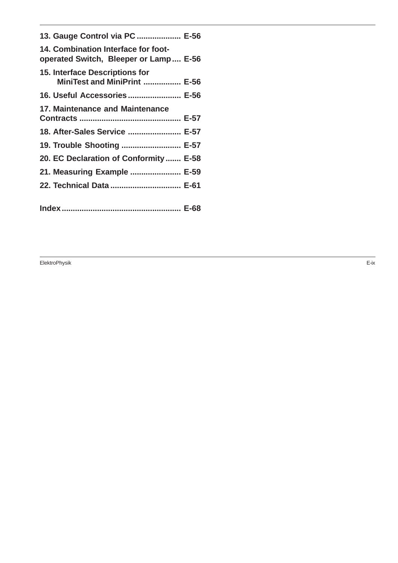| 13. Gauge Control via PC  E-56                                               |  |
|------------------------------------------------------------------------------|--|
| 14. Combination Interface for foot-<br>operated Switch, Bleeper or Lamp E-56 |  |
| <b>15. Interface Descriptions for</b><br>MiniTest and MiniPrint  E-56        |  |
| 16. Useful Accessories E-56                                                  |  |
| 17. Maintenance and Maintenance                                              |  |
| 18. After-Sales Service  E-57                                                |  |
| 19. Trouble Shooting  E-57                                                   |  |
| 20. EC Declaration of Conformity  E-58                                       |  |
| 21. Measuring Example  E-59                                                  |  |
| 22. Technical Data  E-61                                                     |  |
|                                                                              |  |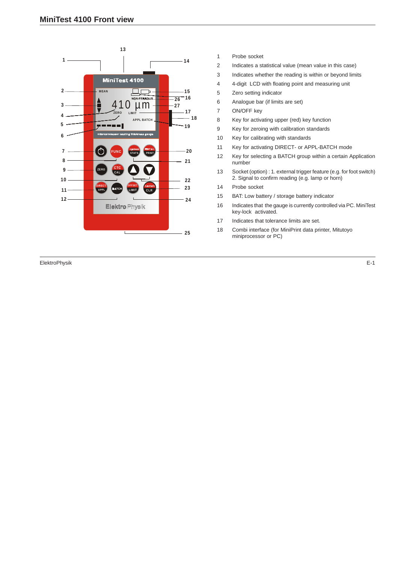

ElektroPhysik E-1

- 1 Probe socket
- 2 Indicates a statistical value (mean value in this case)
- 3 Indicates whether the reading is within or beyond limits
- 4 4-digit LCD with floating point and measuring unit
- 5 Zero setting indicator
- 6 Analogue bar (if limits are set)
- 7 ON/OFF key
- 8 Key for activating upper (red) key function
- 9 Key for zeroing with calibration standards
- 10 Key for calibrating with standards
- 11 Key for activating DIRECT- or APPL-BATCH mode
- 12 Key for selecting a BATCH group within a certain Application number
- 13 Socket (option) : 1. external trigger feature (e.g. for foot switch) 2. Signal to confirm reading (e.g. lamp or horn)
- 14 Probe socket
- 15 BAT: Low battery / storage battery indicator
- 16 Indicates that the gauge is currently controlled via PC. MiniTest key-lock activated.
- 17 Indicates that tolerance limits are set.
- 18 Combi interface (for MiniPrint data printer, Mitutoyo miniprocessor or PC)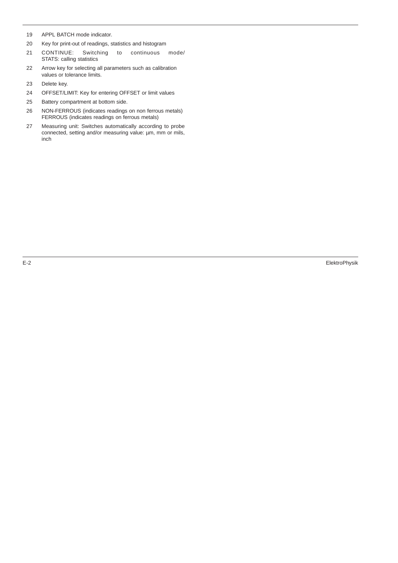- 19 APPL BATCH mode indicator.
- 20 Key for print-out of readings, statistics and histogram
- 21 CONTINUE: Switching to continuous mode/ STATS: calling statistics
- 22 Arrow key for selecting all parameters such as calibration values or tolerance limits.
- 23 Delete key.
- 24 OFFSET/LIMIT: Key for entering OFFSET or limit values
- 25 Battery compartment at bottom side.
- 26 NON-FERROUS (indicates readings on non ferrous metals) FERROUS (indicates readings on ferrous metals)
- 27 Measuring unit: Switches automatically according to probe connected, setting and/or measuring value: µm, mm or mils, inch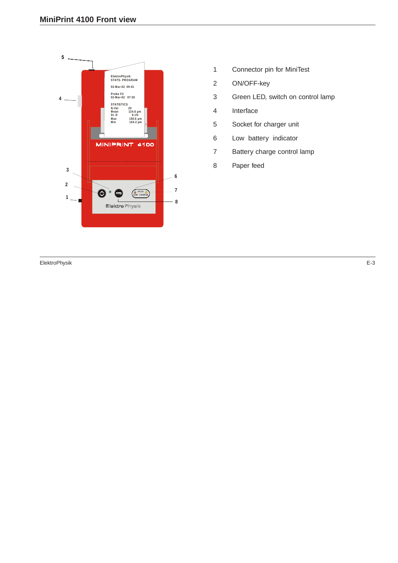

- 1 Connector pin for MiniTest
- 2 ON/OFF-key
- 3 Green LED, switch on control lamp
- 4 Interface
- 5 Socket for charger unit
- 6 Low battery indicator
- 7 Battery charge control lamp
- 8 Paper feed

ElektroPhysik E-3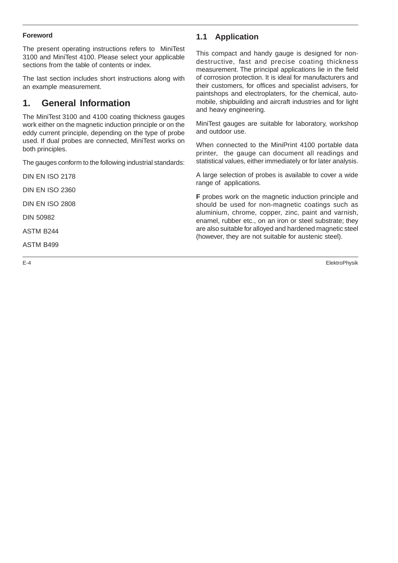#### **Foreword**

The present operating instructions refers to MiniTest 3100 and MiniTest 4100. Please select your applicable sections from the table of contents or index.

The last section includes short instructions along with an example measurement.

# **1. General Information**

The MiniTest 3100 and 4100 coating thickness gauges work either on the magnetic induction principle or on the eddy current principle, depending on the type of probe used. If dual probes are connected, MiniTest works on both principles.

The gauges conform to the following industrial standards:

DIN EN ISO 2178

DIN EN ISO 2360

DIN EN ISO 2808

DIN 50982

ASTM B244

ASTM B499

# **1.1 Application**

This compact and handy gauge is designed for nondestructive, fast and precise coating thickness measurement. The principal applications lie in the field of corrosion protection. It is ideal for manufacturers and their customers, for offices and specialist advisers, for paintshops and electroplaters, for the chemical, automobile, shipbuilding and aircraft industries and for light and heavy engineering.

MiniTest gauges are suitable for laboratory, workshop and outdoor use.

When connected to the MiniPrint 4100 portable data printer, the gauge can document all readings and statistical values, either immediately or for later analysis.

A large selection of probes is available to cover a wide range of applications.

**F** probes work on the magnetic induction principle and should be used for non-magnetic coatings such as aluminium, chrome, copper, zinc, paint and varnish, enamel, rubber etc., on an iron or steel substrate; they are also suitable for alloyed and hardened magnetic steel (however, they are not suitable for austenic steel).

E-4 ElektroPhysik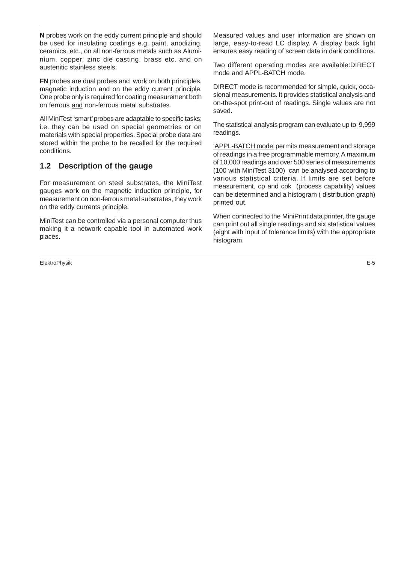**N** probes work on the eddy current principle and should be used for insulating coatings e.g. paint, anodizing, ceramics, etc., on all non-ferrous metals such as Aluminium, copper, zinc die casting, brass etc. and on austenitic stainless steels.

**FN** probes are dual probes and work on both principles, magnetic induction and on the eddy current principle. One probe only is required for coating measurement both on ferrous and non-ferrous metal substrates.

All MiniTest 'smart' probes are adaptable to specific tasks; i.e. they can be used on special geometries or on materials with special properties. Special probe data are stored within the probe to be recalled for the required conditions.

# **1.2 Description of the gauge**

For measurement on steel substrates, the MiniTest gauges work on the magnetic induction principle, for measurement on non-ferrous metal substrates, they work on the eddy currents principle.

MiniTest can be controlled via a personal computer thus making it a network capable tool in automated work places.

ElektroPhysik E-5

Measured values and user information are shown on large, easy-to-read LC display. A display back light ensures easy reading of screen data in dark conditions.

Two different operating modes are available:DIRECT mode and APPL-BATCH mode.

DIRECT mode is recommended for simple, quick, occasional measurements. It provides statistical analysis and on-the-spot print-out of readings. Single values are not saved.

The statistical analysis program can evaluate up to 9,999 readings.

'APPL-BATCH mode' permits measurement and storage of readings in a free programmable memory. A maximum of 10,000 readings and over 500 series of measurements (100 with MiniTest 3100) can be analysed according to various statistical criteria. If limits are set before measurement, cp and cpk (process capability) values can be determined and a histogram ( distribution graph) printed out.

When connected to the MiniPrint data printer, the gauge can print out all single readings and six statistical values (eight with input of tolerance limits) with the appropriate histogram.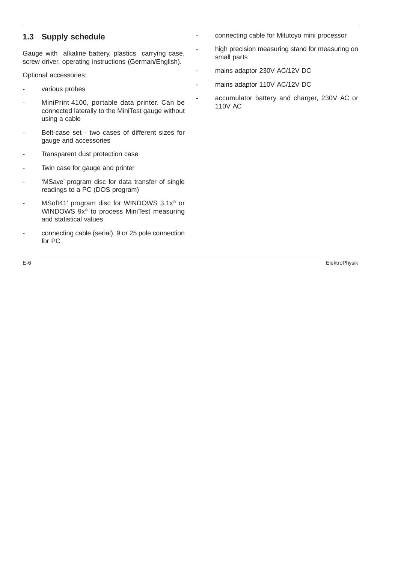# **1.3 Supply schedule**

Gauge with alkaline battery, plastics carrying case, screw driver, operating instructions (German/English).

Optional accessories:

- various probes
- MiniPrint 4100, portable data printer. Can be connected laterally to the MiniTest gauge without using a cable
- Belt-case set two cases of different sizes for gauge and accessories
- Transparent dust protection case
- Twin case for gauge and printer
- 'MSave' program disc for data transfer of single readings to a PC (DOS program)
- MSoft41' program disc for WINDOWS 3.1x® or WINDOWS 9x® to process MiniTest measuring and statistical values
- connecting cable (serial), 9 or 25 pole connection for PC
- connecting cable for Mitutoyo mini processor
	- high precision measuring stand for measuring on small parts
- mains adaptor 230V AC/12V DC

mains adaptor 110V AC/12V DC

accumulator battery and charger, 230V AC or 110V AC

E-6 ElektroPhysik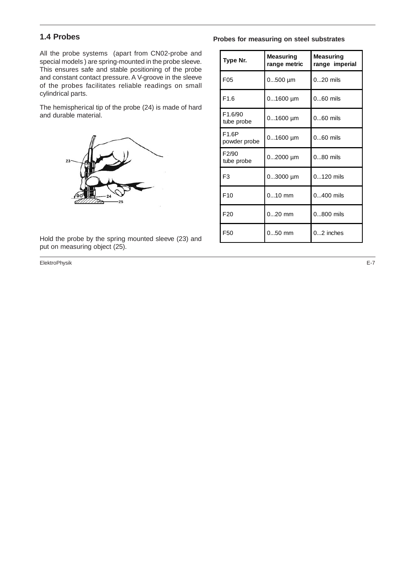# **1.4 Probes**

All the probe systems (apart from CN02-probe and special models ) are spring-mounted in the probe sleeve. This ensures safe and stable positioning of the probe and constant contact pressure. A V-groove in the sleeve of the probes facilitates reliable readings on small cylindrical parts.

The hemispherical tip of the probe (24) is made of hard and durable material.



Hold the probe by the spring mounted sleeve (23) and put on measuring object (25).

ElektroPhysik E-7

#### **Probes for measuring on steel substrates**

| Type Nr.                           | Measuring<br>range metric | Measuring<br>range imperial |
|------------------------------------|---------------------------|-----------------------------|
| F <sub>05</sub>                    | $0500$ µm                 | $020$ mils                  |
| F1.6                               | $01600 \mu m$             | $060$ mils                  |
| F <sub>1.6</sub> /90<br>tube probe | $01600$ µm                | $060$ mils                  |
| F1.6P<br>powder probe              | $01600 \mu m$             | $060$ mils                  |
| F2/90<br>tube probe                | $02000$ µm                | $080$ mils                  |
| F <sub>3</sub>                     | $03000$ µm                | $0120$ mils                 |
| F10                                | $010$ mm                  | $0400$ mils                 |
| F <sub>20</sub>                    | $020$ mm                  | $0800$ mils                 |
| F <sub>50</sub>                    | $050$ mm                  | $0.2$ inches                |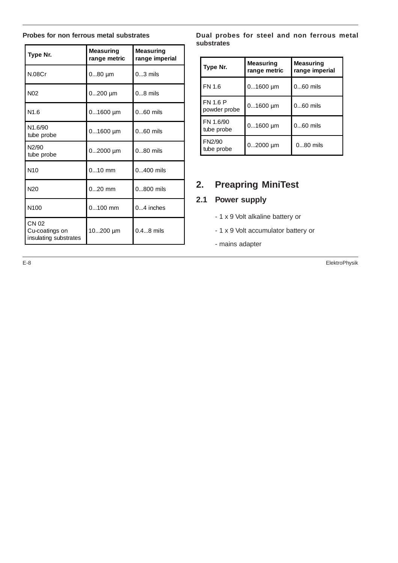#### **Probes for non ferrous metal substrates**

| Type Nr.                                         | <b>Measuring</b><br>range metric | <b>Measuring</b><br>range imperial |
|--------------------------------------------------|----------------------------------|------------------------------------|
| N.08Cr                                           | $080$ µm                         | $03$ mils                          |
| N <sub>02</sub>                                  | $0200$ µm                        | $08$ mils                          |
| N1.6                                             | $01600$ µm                       | $060$ mils                         |
| N1.6/90<br>tube probe                            | $01600$ µm                       | $060$ mils                         |
| N2/90<br>tube probe                              | $02000$ µm                       | $080$ mils                         |
| N10                                              | $010$ mm                         | 0400 mils                          |
| N <sub>20</sub>                                  | $020$ mm                         | $0800$ mils                        |
| N <sub>100</sub>                                 | $0100$ mm                        | 04 inches                          |
| CN 02<br>Cu-coatings on<br>insulating substrates | 10200 µm                         | $0.48$ mils                        |

**Dual probes for steel and non ferrous metal substrates**

| Type Nr.                        | Measuring<br>range metric | <b>Measuring</b><br>range imperial |
|---------------------------------|---------------------------|------------------------------------|
| FN 1.6                          | $01600$ µm                | $060$ mils                         |
| <b>FN 1.6 P</b><br>powder probe | $01600$ µm                | 060 mils                           |
| FN 1.6/90<br>tube probe         | $01600$ µm                | $060$ mils                         |
| FN2/90<br>tube probe            | $02000$ µm                | $080$ mils                         |

# **2. Preapring MiniTest**

# **2.1 Power supply**

- 1 x 9 Volt alkaline battery or
- 1 x 9 Volt accumulator battery or
- mains adapter

E-8 ElektroPhysik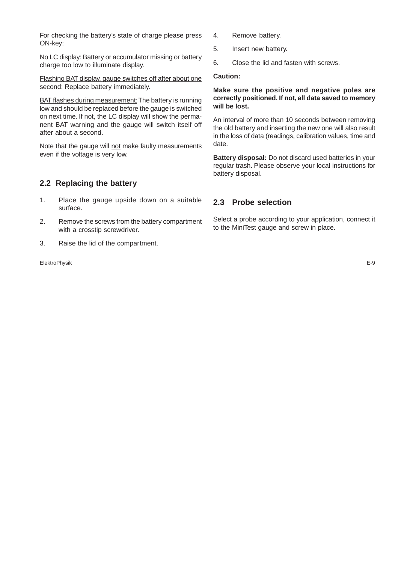For checking the battery's state of charge please press ON-key:

No LC display: Battery or accumulator missing or battery charge too low to illuminate display.

Flashing BAT display, gauge switches off after about one second: Replace battery immediately.

BAT flashes during measurement: The battery is running low and should be replaced before the gauge is switched on next time. If not, the LC display will show the permanent BAT warning and the gauge will switch itself off after about a second.

Note that the gauge will not make faulty measurements even if the voltage is very low.

# **2.2 Replacing the battery**

- 1. Place the gauge upside down on a suitable surface.
- 2. Remove the screws from the battery compartment with a crosstip screwdriver.
- 3. Raise the lid of the compartment.

ElektroPhysik E-9

- 4. Remove battery.
- 5. Insert new battery.
- 6. Close the lid and fasten with screws.

#### **Caution:**

#### **Make sure the positive and negative poles are correctly positioned. If not, all data saved to memory will be lost.**

An interval of more than 10 seconds between removing the old battery and inserting the new one will also result in the loss of data (readings, calibration values, time and date.

**Battery disposal:** Do not discard used batteries in your regular trash. Please observe your local instructions for battery disposal.

# **2.3 Probe selection**

Select a probe according to your application, connect it to the MiniTest gauge and screw in place.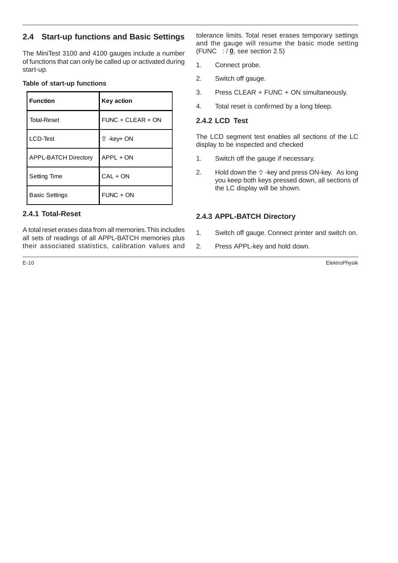# **2.4 Start-up functions and Basic Settings**

The MiniTest 3100 and 4100 gauges include a number of functions that can only be called up or activated during start-up.

#### **Table of start-up functions**

| <b>Function</b>             | <b>Key action</b> |
|-----------------------------|-------------------|
| <b>Total-Reset</b>          | FUNC + CLEAR + ON |
| LCD-Test                    | û -key+ ON        |
| <b>APPL-BATCH Directory</b> | APPL + ON         |
| Setting Time                | $CAL + ON$        |
| <b>Basic Settings</b>       | FUNC + ON         |

# **2.4.1 Total-Reset**

A total reset erases data from all memories. This includes all sets of readings of all APPL-BATCH memories plus their associated statistics, calibration values and tolerance limits. Total reset erases temporary settings and the gauge will resume the basic mode setting (FUNC  $\div$   $\mathbf{0}$ , see section 2.5)

- 1. Connect probe.
- 2. Switch off gauge.
- 3. Press CLEAR + FUNC + ON simultaneously.
- 4. Total reset is confirmed by a long bleep.

# **2.4.2 LCD Test**

The LCD segment test enables all sections of the LC display to be inspected and checked

- 1. Switch off the gauge if necessary.
- 2. Hold down the  $\hat{u}$  -key and press ON-key. As long you keep both keys pressed down, all sections of the LC display will be shown.

### **2.4.3 APPL-BATCH Directory**

- 1. Switch off gauge. Connect printer and switch on.
- 2. Press APPL-key and hold down.

E-10 ElektroPhysik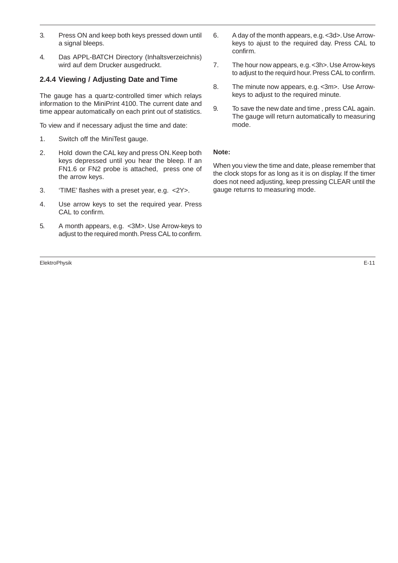- 3. Press ON and keep both keys pressed down until a signal bleeps.
- 4. Das APPL-BATCH Directory (Inhaltsverzeichnis) wird auf dem Drucker ausgedruckt.

## **2.4.4 Viewing / Adjusting Date and Time**

The gauge has a quartz-controlled timer which relays information to the MiniPrint 4100. The current date and time appear automatically on each print out of statistics.

To view and if necessary adjust the time and date:

- 1. Switch off the MiniTest gauge.
- 2. Hold down the CAL key and press ON. Keep both keys depressed until you hear the bleep. If an FN1.6 or FN2 probe is attached, press one of the arrow keys.
- 3. 'TIME' flashes with a preset year, e.g. <2Y>.
- 4. Use arrow keys to set the required year. Press CAL to confirm.
- 5. A month appears, e.g. <3M>. Use Arrow-keys to adjust to the required month. Press CAL to confirm.

ElektroPhysik E-11

- 6. A day of the month appears, e.g. <3d>. Use Arrowkeys to ajust to the required day. Press CAL to confirm.
- 7. The hour now appears, e.g. <3h>. Use Arrow-keys to adjust to the requird hour. Press CAL to confirm.
- 8. The minute now appears, e.g. <3m>. Use Arrowkeys to adjust to the required minute.
- 9. To save the new date and time , press CAL again. The gauge will return automatically to measuring mode.

#### **Note:**

When you view the time and date, please remember that the clock stops for as long as it is on display. If the timer does not need adjusting, keep pressing CLEAR until the gauge returns to measuring mode.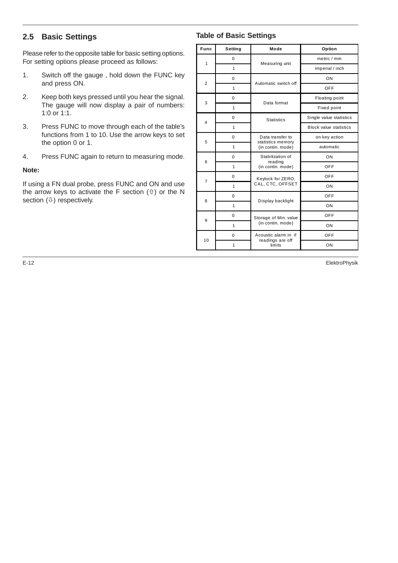# **2.5 Basic Settings**

Please refer to the opposite table for basic setting options. For setting options please proceed as follows:

- 1. Switch off the gauge , hold down the FUNC key and press ON.
- 2. Keep both keys pressed until you hear the signal. The gauge will now display a pair of numbers: 1:0 or 1:1.
- 3. Press FUNC to move through each of the table's functions from 1 to 10. Use the arrow keys to set the option 0 or 1.
- 4. Press FUNC again to return to measuring mode.

#### **Note:**

If using a FN dual probe, press FUNC and ON and use the arrow keys to activate the F section  $(i)$  or the N section  $(\sqrt[\mathbb{J}]{})$  respectively.

# **Table of Basic Settings**

| Func                    | Setting      | Mode                                                       | Option                        |
|-------------------------|--------------|------------------------------------------------------------|-------------------------------|
| $\mathbf{1}$            | 0            | Measuring unit                                             | metric / mm                   |
|                         | $\mathbf{1}$ |                                                            | imperial / inch               |
| $\overline{2}$          | 0            | Automatic switch off                                       | ON                            |
|                         | $\mathbf{1}$ |                                                            | OFF                           |
| 3                       | 0            | Data format                                                | Floating point                |
|                         | 1            |                                                            | Fixed point                   |
| $\overline{\mathbf{4}}$ | 0            | <b>Statistics</b>                                          | Single value statistics       |
|                         | 1            |                                                            | <b>Block value statistics</b> |
| 5                       | 0            | Data transfer to<br>statistics memory<br>(in contin. mode) | on key action                 |
|                         | 1            |                                                            | automatic                     |
| 6                       | $\Omega$     | Stabilization of<br>reading                                | ON                            |
|                         | 1            | (in contin. mode)                                          | <b>OFF</b>                    |
| 7                       | 0            | Keylock for ZERO,                                          | OFF                           |
|                         | 1            | CAL, CTC, OFFSET                                           | ON                            |
| 8                       | 0            |                                                            | OFF                           |
|                         | 1            | Display backlight                                          | ON                            |
| 9                       | 0            | Storage of Min. value<br>(in contin. mode)                 | OFF                           |
|                         | 1            |                                                            | ON                            |
| 10                      | 0            | Acoustic alarm in if                                       | OFF                           |
|                         | 1            | readings are off<br>limits                                 | ON                            |

E-12 ElektroPhysik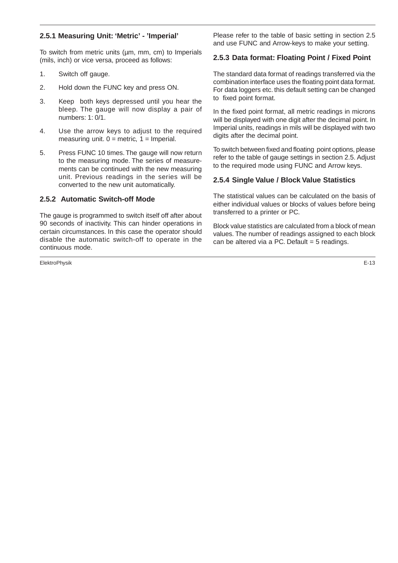# **2.5.1 Measuring Unit: 'Metric' - 'Imperial'**

To switch from metric units (µm, mm, cm) to Imperials (mils, inch) or vice versa, proceed as follows:

- 1. Switch off gauge.
- 2. Hold down the FUNC key and press ON.
- 3. Keep both keys depressed until you hear the bleep. The gauge will now display a pair of numbers: 1: 0/1.
- 4. Use the arrow keys to adjust to the required measuring unit.  $0 =$  metric,  $1 =$  Imperial.
- 5. Press FUNC 10 times. The gauge will now return to the measuring mode. The series of measurements can be continued with the new measuring unit. Previous readings in the series will be converted to the new unit automatically.

#### **2.5.2 Automatic Switch-off Mode**

The gauge is programmed to switch itself off after about 90 seconds of inactivity. This can hinder operations in certain circumstances. In this case the operator should disable the automatic switch-off to operate in the continuous mode.

ElektroPhysik E-13

Please refer to the table of basic setting in section 2.5 and use FUNC and Arrow-keys to make your setting.

### **2.5.3 Data format: Floating Point / Fixed Point**

The standard data format of readings transferred via the combination interface uses the floating point data format. For data loggers etc. this default setting can be changed to fixed point format.

In the fixed point format, all metric readings in microns will be displayed with one digit after the decimal point. In Imperial units, readings in mils will be displayed with two digits after the decimal point.

To switch between fixed and floating point options, please refer to the table of gauge settings in section 2.5. Adjust to the required mode using FUNC and Arrow keys.

#### **2.5.4 Single Value / Block Value Statistics**

The statistical values can be calculated on the basis of either individual values or blocks of values before being transferred to a printer or PC.

Block value statistics are calculated from a block of mean values. The number of readings assigned to each block can be altered via a PC. Default  $=$  5 readings.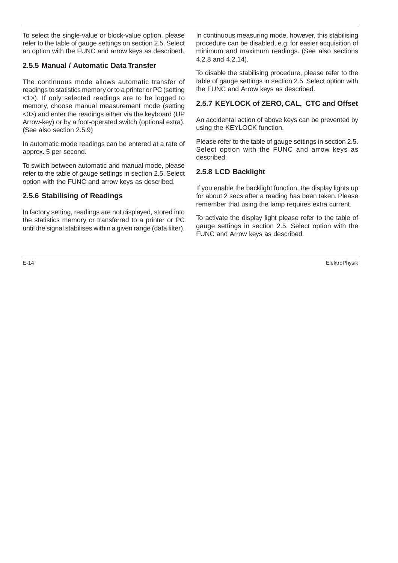To select the single-value or block-value option, please refer to the table of gauge settings on section 2.5. Select an option with the FUNC and arrow keys as described.

# **2.5.5 Manual / Automatic Data Transfer**

The continuous mode allows automatic transfer of readings to statistics memory or to a printer or PC (setting <1>). If only selected readings are to be logged to memory, choose manual measurement mode (setting <0>) and enter the readings either via the keyboard (UP Arrow-key) or by a foot-operated switch (optional extra). (See also section 2.5.9)

In automatic mode readings can be entered at a rate of approx. 5 per second.

To switch between automatic and manual mode, please refer to the table of gauge settings in section 2.5. Select option with the FUNC and arrow keys as described.

# **2.5.6 Stabilising of Readings**

In factory setting, readings are not displayed, stored into the statistics memory or transferred to a printer or PC until the signal stabilises within a given range (data filter).

In continuous measuring mode, however, this stabilising procedure can be disabled, e.g. for easier acquisition of minimum and maximum readings. (See also sections 4.2.8 and 4.2.14).

To disable the stabilising procedure, please refer to the table of gauge settings in section 2.5. Select option with the FUNC and Arrow keys as described.

# **2.5.7 KEYLOCK of ZERO, CAL, CTC and Offset**

An accidental action of above keys can be prevented by using the KEYLOCK function.

Please refer to the table of gauge settings in section 2.5. Select option with the FUNC and arrow keys as described.

# **2.5.8 LCD Backlight**

If you enable the backlight function, the display lights up for about 2 secs after a reading has been taken. Please remember that using the lamp requires extra current.

To activate the display light please refer to the table of gauge settings in section 2.5. Select option with the FUNC and Arrow keys as described.

E-14 ElektroPhysik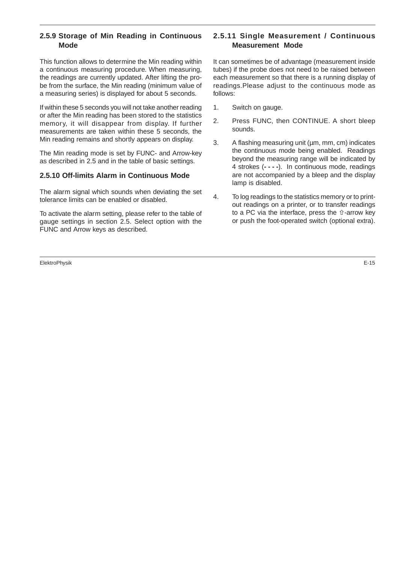# **2.5.9 Storage of Min Reading in Continuous Mode**

This function allows to determine the Min reading within a continuous measuring procedure. When measuring, the readings are currently updated. After lifting the probe from the surface, the Min reading (minimum value of a measuring series) is displayed for about 5 seconds.

If within these 5 seconds you will not take another reading or after the Min reading has been stored to the statistics memory, it will disappear from display. If further measurements are taken within these 5 seconds, the Min reading remains and shortly appears on display.

The Min reading mode is set by FUNC- and Arrow-key as described in 2.5 and in the table of basic settings.

# **2.5.10 Off-limits Alarm in Continuous Mode**

The alarm signal which sounds when deviating the set tolerance limits can be enabled or disabled.

To activate the alarm setting, please refer to the table of gauge settings in section 2.5. Select option with the FUNC and Arrow keys as described.

ElektroPhysik E-15

# **2.5.11 Single Measurement / Continuous Measurement Mode**

It can sometimes be of advantage (measurement inside tubes) if the probe does not need to be raised between each measurement so that there is a running display of readings.Please adjust to the continuous mode as follows:

- 1. Switch on gauge.
- 2. Press FUNC, then CONTINUE. A short bleep sounds.
- 3. A flashing measuring unit (µm, mm, cm) indicates the continuous mode being enabled. Readings beyond the measuring range will be indicated by 4 strokes (**- - - -**). In continuous mode, readings are not accompanied by a bleep and the display lamp is disabled.
- 4. To log readings to the statistics memory or to printout readings on a printer, or to transfer readings to a PC via the interface, press the  $\hat{u}$ -arrow key or push the foot-operated switch (optional extra).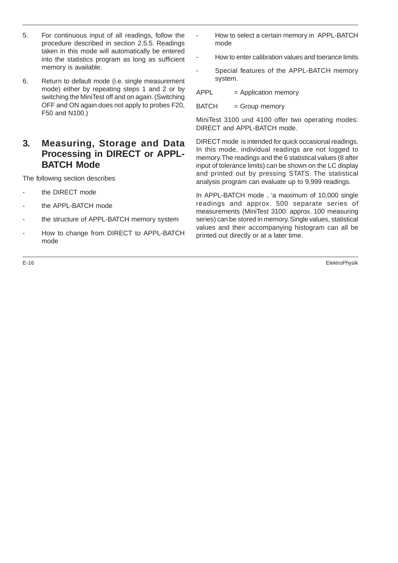- 5. For continuous input of all readings, follow the procedure described in section 2.5.5. Readings taken in this mode will automatically be entered into the statistics program as long as sufficient memory is available.
- 6. Return to default mode (i.e. single measurement mode) either by repeating steps 1 and 2 or by switching the MiniTest off and on again. (Switching OFF and ON again does not apply to probes F20, F50 and N100.)

# **3. Measuring, Storage and Data Processing in DIRECT or APPL-BATCH Mode**

The following section describes

- the DIRECT mode
- the APPL-BATCH mode
- the structure of APPL-BATCH memory system
- How to change from DIRECT to APPL-BATCH mode
- 
- How to select a certain memory in APPL-BATCH mode
- How to enter calibration values and toerance limits
- Special features of the APPL-BATCH memory system.

 $APPL = Application memory$ 

BATCH = Group memory

MiniTest 3100 und 4100 offer two operating modes: DIRECT and APPL-BATCH mode.

DIRECT mode is intended for quick occasional readings. In this mode, individual readings are not logged to memory. The readings and the 6 statistical values (8 after input of tolerance limits) can be shown on the LC display and printed out by pressing STATS. The statistical analysis program can evaluate up to 9,999 readings.

In APPL-BATCH mode , 'a maximum of 10,000 single readings and approx. 500 separate series of measurements (MiniTest 3100: approx. 100 measuring series) can be stored in memory. Single values, statistical values and their accompanying histogram can all be printed out directly or at a later time.

E-16 ElektroPhysik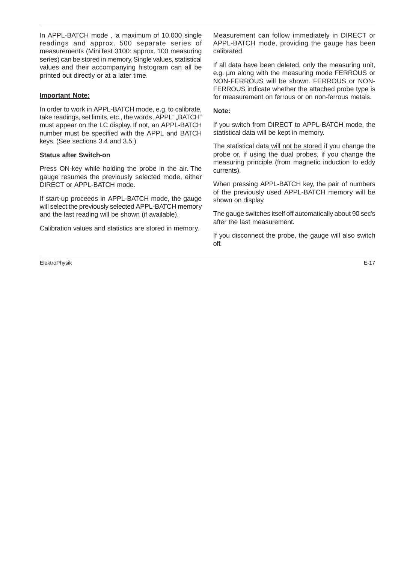In APPL-BATCH mode , 'a maximum of 10,000 single readings and approx. 500 separate series of measurements (MiniTest 3100: approx. 100 measuring series) can be stored in memory. Single values, statistical values and their accompanying histogram can all be printed out directly or at a later time.

#### **Important Note:**

In order to work in APPL-BATCH mode, e.g. to calibrate, take readings, set limits, etc., the words "APPL" "BATCH" must appear on the LC display. If not, an APPL-BATCH number must be specified with the APPL and BATCH keys. (See sections 3.4 and 3.5.)

#### **Status after Switch-on**

Press ON-key while holding the probe in the air. The gauge resumes the previously selected mode, either DIRECT or APPL-BATCH mode.

If start-up proceeds in APPL-BATCH mode, the gauge will select the previously selected APPL-BATCH memory and the last reading will be shown (if available).

Calibration values and statistics are stored in memory.

ElektroPhysik E-17

Measurement can follow immediately in DIRECT or APPL-BATCH mode, providing the gauge has been calibrated.

If all data have been deleted, only the measuring unit, e.g. µm along with the measuring mode FERROUS or NON-FERROUS will be shown. FERROUS or NON-FERROUS indicate whether the attached probe type is for measurement on ferrous or on non-ferrous metals.

#### **Note:**

If you switch from DIRECT to APPL-BATCH mode, the statistical data will be kept in memory.

The statistical data will not be stored if you change the probe or, if using the dual probes, if you change the measuring principle (from magnetic induction to eddy currents).

When pressing APPL-BATCH key, the pair of numbers of the previously used APPL-BATCH memory will be shown on display.

The gauge switches itself off automatically about 90 sec's after the last measurement.

If you disconnect the probe, the gauge will also switch off.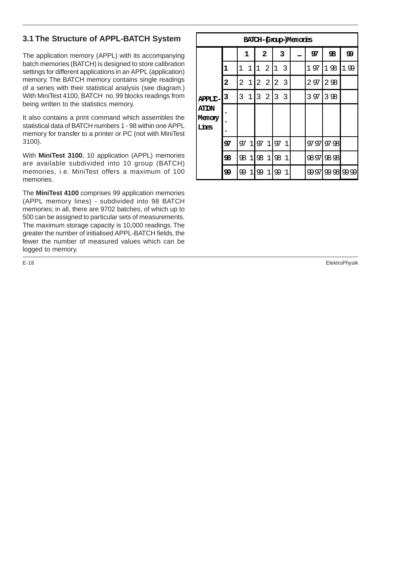# **3.1 The Structure of APPL-BATCH System**

The application memory (APPL) with its accompanying batch memories (BATCH) is designed to store calibration settings for different applications in an APPL (application) memory. The BATCH memory contains single readings of a series with their statistical analysis (see diagram.) With MiniTest 4100, BATCH no. 99 blocks readings from being written to the statistics memory.

It also contains a print command which assembles the statistical data of BATCH numbers 1 - 98 within one APPL memory for transfer to a printer or PC (not with MiniTest 3100).

With **MiniTest 3100**, 10 application (APPL) memories are available subdivided into 10 group (BATCH) memories, i.e. MiniTest offers a maximum of 100 memories.

The **MiniTest 4100** comprises 99 application memories (APPL memory lines) - subdivided into 98 BATCH memories; in all, there are 9702 batches, of which up to 500 can be assigned to particular sets of measurements. The maximum storage capacity is 10,000 readings. The greater the number of initialised APPL-BATCH fields, the fewer the number of measured values which can be logged to memory.

**BATCH-(Group-)Memories APPLIC-ATION Memory Lines 1 2 3... 97 98 99 1** 1 1 1 2 1 3 1 97 1 98 1 99 **2** 2 1 2 2 2 3 2 97 2 98 **3**  $\begin{bmatrix} 3 & 1 & 3 & 2 & 3 \end{bmatrix}$   $\begin{bmatrix} 3 & 97 & 3 & 98 \end{bmatrix}$ **. . . 97** 97 1 97 1 97 1 97 97 98 **98** | 98 1 | 98 1 | 98 1 | 98 97 | 98 98 **99 9** 99 1 99 1 99 1 99 97 99 98 99 99

E-18 ElektroPhysik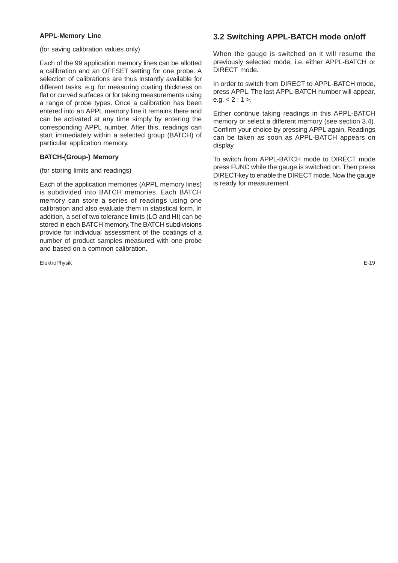#### **APPL-Memory Line**

(for saving calibration values only)

Each of the 99 application memory lines can be allotted a calibration and an OFFSET setting for one probe. A selection of calibrations are thus instantly available for different tasks, e.g. for measuring coating thickness on flat or curved surfaces or for taking measurements using a range of probe types. Once a calibration has been entered into an APPL memory line it remains there and can be activated at any time simply by entering the corresponding APPL number. After this, readings can start immediately within a selected group (BATCH) of particular application memory.

#### **BATCH-(Group-) Memory**

#### (for storing limits and readings)

Each of the application memories (APPL memory lines) is subdivided into BATCH memories. Each BATCH memory can store a series of readings using one calibration and also evaluate them in statistical form. In addition, a set of two tolerance limits (LO and HI) can be stored in each BATCH memory. The BATCH subdivisions provide for individual assessment of the coatings of a number of product samples measured with one probe and based on a common calibration.

ElektroPhysik E-19

# **3.2 Switching APPL-BATCH mode on/off**

When the gauge is switched on it will resume the previously selected mode, i.e. either APPL-BATCH or DIRECT mode.

In order to switch from DIRECT to APPL-BATCH mode, press APPL. The last APPL-BATCH number will appear, e.g.  $< 2 : 1 >$ .

Either continue taking readings in this APPL-BATCH memory or select a different memory (see section 3.4). Confirm your choice by pressing APPL again. Readings can be taken as soon as APPL-BATCH appears on display.

To switch from APPL-BATCH mode to DIRECT mode press FUNC while the gauge is switched on. Then press DIRECT-key to enable the DIRECT mode. Now the gauge is ready for measurement.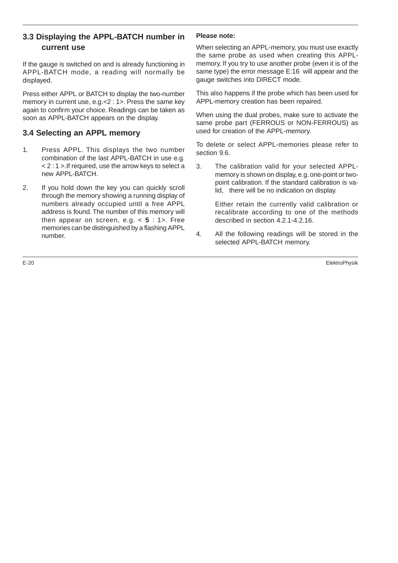# **3.3 Displaying the APPL-BATCH number in current use**

If the gauge is switched on and is already functioning in APPL-BATCH mode, a reading will normally be displayed.

Press either APPL or BATCH to display the two-number memory in current use, e.g.<2 : 1>. Press the same key again to confirm your choice. Readings can be taken as soon as APPL-BATCH appears on the display.

# **3.4 Selecting an APPL memory**

- 1. Press APPL. This displays the two number combination of the last APPL-BATCH in use e.g. < 2 : 1 >.If required, use the arrow keys to select a new APPL-BATCH.
- 2. If you hold down the key you can quickly scroll through the memory showing a running display of numbers already occupied until a free APPL address is found. The number of this memory will then appear on screen, e.g. < **5** : 1>. Free memories can be distinguished by a flashing APPL number.

#### **Please note:**

When selecting an APPL-memory, you must use exactly the same probe as used when creating this APPLmemory. If you try to use another probe (even it is of the same type) the error message E:16 will appear and the gauge switches into DIRECT mode.

This also happens if the probe which has been used for APPL-memory creation has been repaired.

When using the dual probes, make sure to activate the same probe part (FERROUS or NON-FERROUS) as used for creation of the APPL-memory.

To delete or select APPL-memories please refer to section 9.6.

3. The calibration valid for your selected APPLmemory is shown on display, e.g. one-point or twopoint calibration. If the standard calibration is valid, there will be no indication on display.

Either retain the currently valid calibration or recalibrate according to one of the methods described in section 4.2.1-4.2.16.

4. All the following readings will be stored in the selected APPL-BATCH memory.

E-20 ElektroPhysik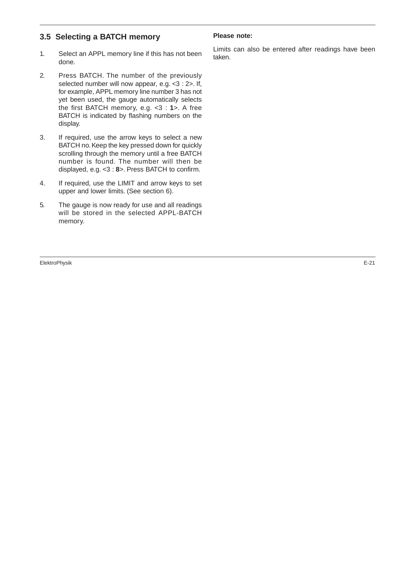# **3.5 Selecting a BATCH memory**

- 1. Select an APPL memory line if this has not been done.
- 2. Press BATCH. The number of the previously selected number will now appear, e.g. <3 : 2>. If, for example, APPL memory line number 3 has not yet been used, the gauge automatically selects the first BATCH memory, e.g. <3 : **1**>. A free BATCH is indicated by flashing numbers on the display.
- 3. If required, use the arrow keys to select a new BATCH no. Keep the key pressed down for quickly scrolling through the memory until a free BATCH number is found. The number will then be displayed, e.g. <3 : **8**>. Press BATCH to confirm.
- 4. If required, use the LIMIT and arrow keys to set upper and lower limits. (See section 6).
- 5. The gauge is now ready for use and all readings will be stored in the selected APPL-BATCH memory.

ElektroPhysik E-21

#### **Please note:**

Limits can also be entered after readings have been taken.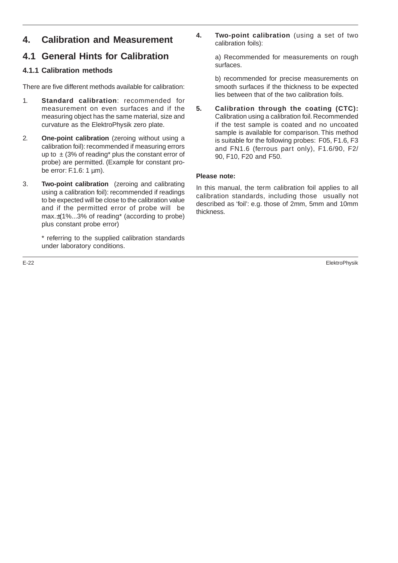# **4. Calibration and Measurement**

# **4.1 General Hints for Calibration**

# **4.1.1 Calibration methods**

There are five different methods available for calibration:

- 1. **Standard calibration**: recommended for measurement on even surfaces and if the measuring object has the same material, size and curvature as the ElektroPhysik zero plate.
- 2. **One-point calibration** (zeroing without using a calibration foil): recommended if measuring errors up to  $\pm$  (3% of reading\* plus the constant error of probe) are permitted. (Example for constant probe error: F.1.6: 1 µm).
- 3. **Two-point calibration** (zeroing and calibrating using a calibration foil): recommended if readings to be expected will be close to the calibration value and if the permitted error of probe will be max.±(1%...3% of reading\* (according to probe) plus constant probe error)

\* referring to the supplied calibration standards under laboratory conditions.

**4. Two-point calibration** (using a set of two calibration foils):

> a) Recommended for measurements on rough surfaces.

> b) recommended for precise measurements on smooth surfaces if the thickness to be expected lies between that of the two calibration foils.

**5. Calibration through the coating (CTC):** Calibration using a calibration foil. Recommended if the test sample is coated and no uncoated sample is available for comparison. This method is suitable for the following probes: F05, F1.6, F3 and FN1.6 (ferrous part only), F1.6/90, F2/ 90, F10, F20 and F50.

#### **Please note:**

In this manual, the term calibration foil applies to all calibration standards, including those usually not described as 'foil': e.g. those of 2mm, 5mm and 10mm thickness.

E-22 ElektroPhysik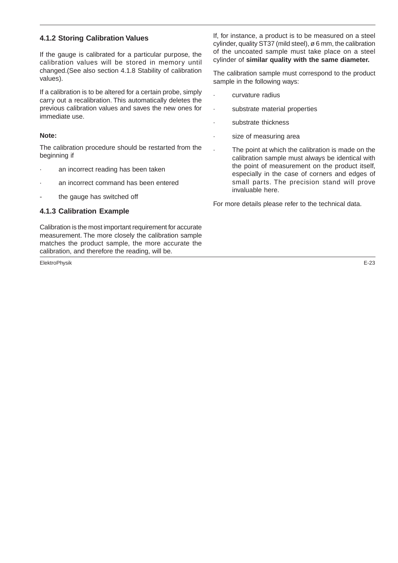# **4.1.2 Storing Calibration Values**

If the gauge is calibrated for a particular purpose, the calibration values will be stored in memory until changed.(See also section 4.1.8 Stability of calibration values).

If a calibration is to be altered for a certain probe, simply carry out a recalibration. This automatically deletes the previous calibration values and saves the new ones for immediate use.

#### **Note:**

The calibration procedure should be restarted from the beginning if

- an incorrect reading has been taken
- an incorrect command has been entered
- the gauge has switched off

#### **4.1.3 Calibration Example**

Calibration is the most important requirement for accurate measurement. The more closely the calibration sample matches the product sample, the more accurate the calibration, and therefore the reading, will be.

ElektroPhysik E-23

If, for instance, a product is to be measured on a steel cylinder, quality ST37 (mild steel), ø 6 mm, the calibration of the uncoated sample must take place on a steel cylinder of **similar quality with the same diameter.**

The calibration sample must correspond to the product sample in the following ways:

- · curvature radius
- · substrate material properties
- substrate thickness
- size of measuring area
	- The point at which the calibration is made on the calibration sample must always be identical with the point of measurement on the product itself, especially in the case of corners and edges of small parts. The precision stand will prove invaluable here.

For more details please refer to the technical data.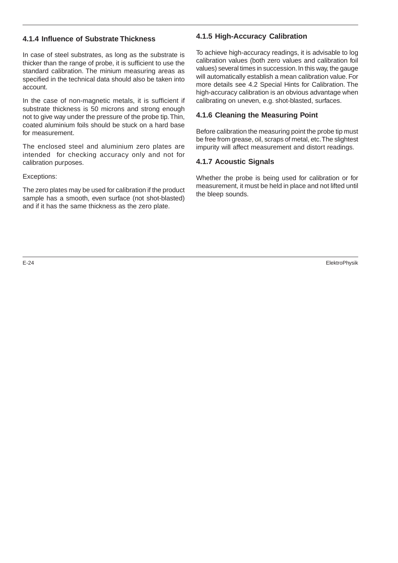## **4.1.4 Influence of Substrate Thickness**

In case of steel substrates, as long as the substrate is thicker than the range of probe, it is sufficient to use the standard calibration. The minium measuring areas as specified in the technical data should also be taken into account.

In the case of non-magnetic metals, it is sufficient if substrate thickness is 50 microns and strong enough not to give way under the pressure of the probe tip. Thin, coated aluminium foils should be stuck on a hard base for measurement.

The enclosed steel and aluminium zero plates are intended for checking accuracy only and not for calibration purposes.

Exceptions:

The zero plates may be used for calibration if the product sample has a smooth, even surface (not shot-blasted) and if it has the same thickness as the zero plate.

# **4.1.5 High-Accuracy Calibration**

To achieve high-accuracy readings, it is advisable to log calibration values (both zero values and calibration foil values) several times in succession. In this way, the gauge will automatically establish a mean calibration value. For more details see 4.2 Special Hints for Calibration. The high-accuracy calibration is an obvious advantage when calibrating on uneven, e.g. shot-blasted, surfaces.

# **4.1.6 Cleaning the Measuring Point**

Before calibration the measuring point the probe tip must be free from grease, oil, scraps of metal, etc. The slightest impurity will affect measurement and distort readings.

# **4.1.7 Acoustic Signals**

Whether the probe is being used for calibration or for measurement, it must be held in place and not lifted until the bleep sounds.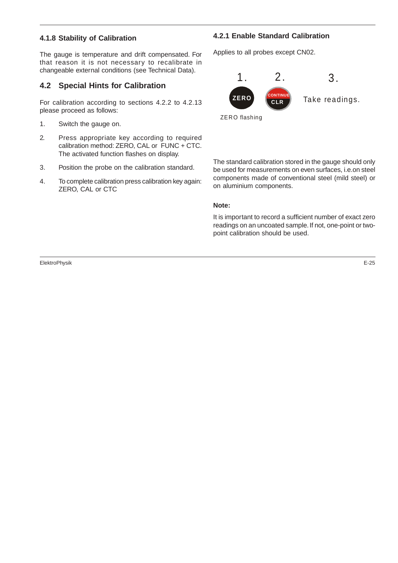#### **4.1.8 Stability of Calibration**

The gauge is temperature and drift compensated. For that reason it is not necessary to recalibrate in changeable external conditions (see Technical Data).

# **4.2 Special Hints for Calibration**

For calibration according to sections 4.2.2 to 4.2.13 please proceed as follows:

- 1. Switch the gauge on.
- 2. Press appropriate key according to required calibration method: ZERO, CAL or FUNC + CTC. The activated function flashes on display.
- 3. Position the probe on the calibration standard.
- 4. To complete calibration press calibration key again: ZERO, CAL or CTC

# **4.2.1 Enable Standard Calibration**

Applies to all probes except CN02.



The standard calibration stored in the gauge should only be used for measurements on even surfaces, i.e.on steel components made of conventional steel (mild steel) or on aluminium components.

#### **Note:**

It is important to record a sufficient number of exact zero readings on an uncoated sample. If not, one-point or twopoint calibration should be used.

ElektroPhysik E-25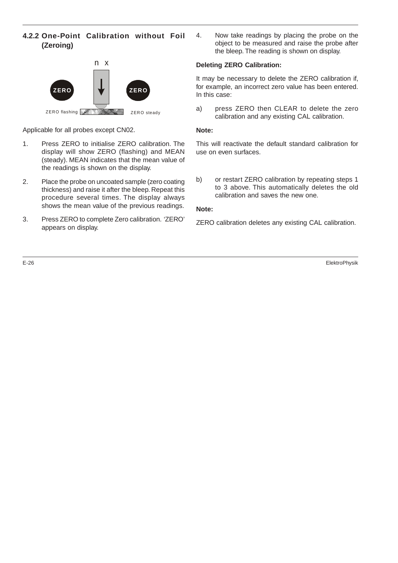## **4.2.2 One-Point Calibration without Foil (Zeroing)**



Applicable for all probes except CN02.

- 1. Press ZERO to initialise ZERO calibration. The display will show ZERO (flashing) and MEAN (steady). MEAN indicates that the mean value of the readings is shown on the display.
- 2. Place the probe on uncoated sample (zero coating thickness) and raise it after the bleep. Repeat this procedure several times. The display always shows the mean value of the previous readings.
- 3. Press ZERO to complete Zero calibration. 'ZERO' appears on display.

4. Now take readings by placing the probe on the object to be measured and raise the probe after the bleep. The reading is shown on display.

## **Deleting ZERO Calibration:**

It may be necessary to delete the ZERO calibration if, for example, an incorrect zero value has been entered. In this case:

a) press ZERO then CLEAR to delete the zero calibration and any existing CAL calibration.

#### **Note:**

This will reactivate the default standard calibration for use on even surfaces.

b) or restart ZERO calibration by repeating steps 1 to 3 above. This automatically deletes the old calibration and saves the new one.

#### **Note:**

ZERO calibration deletes any existing CAL calibration.

E-26 ElektroPhysik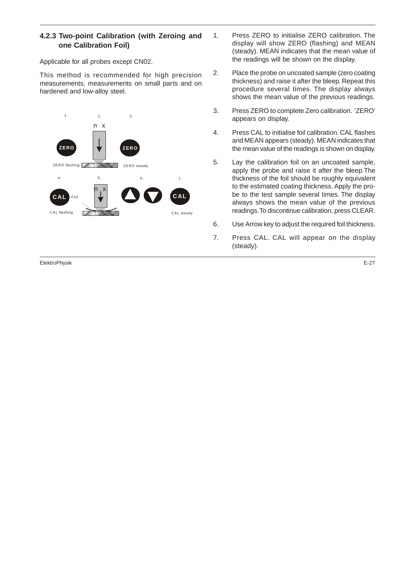## **4.2.3 Two-point Calibration (with Zeroing and one Calibration Foil)**

Applicable for all probes except CN02.

This method is recommended for high precision measurements, measurements on small parts and on hardened and low-alloy steel.



ElektroPhysik E-27

- 1. Press ZERO to initialise ZERO calibration. The display will show ZERO (flashing) and MEAN (steady). MEAN indicates that the mean value of the readings will be shown on the display.
- 2. Place the probe on uncoated sample (zero coating thickness) and raise it after the bleep. Repeat this procedure several times. The display always shows the mean value of the previous readings.
- 3. Press ZERO to complete Zero calibration. 'ZERO' appears on display.
- 4. Press CAL to initialise foil calibration. CAL flashes and MEAN appears (steady). MEAN indicates that the mean value of the readings is shown on display.
- 5. Lay the calibration foil on an uncoated sample, apply the probe and raise it after the bleep.The thickness of the foil should be roughly equivalent to the estimated coating thickness. Apply the probe to the test sample several times. The display always shows the mean value of the previous readings. To discontinue calibration, press CLEAR.
- 6. Use Arrow key to adjust the required foil thickness.
- 7. Press CAL. CAL will appear on the display (steady).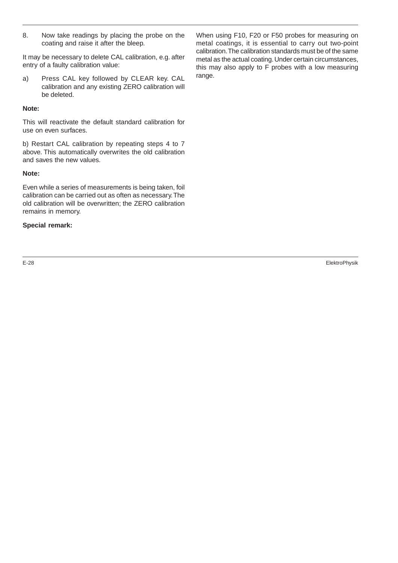8. Now take readings by placing the probe on the coating and raise it after the bleep.

It may be necessary to delete CAL calibration, e.g. after entry of a faulty calibration value:

a) Press CAL key followed by CLEAR key. CAL calibration and any existing ZERO calibration will be deleted.

#### **Note:**

This will reactivate the default standard calibration for use on even surfaces.

b) Restart CAL calibration by repeating steps 4 to 7 above. This automatically overwrites the old calibration and saves the new values.

#### **Note:**

Even while a series of measurements is being taken, foil calibration can be carried out as often as necessary. The old calibration will be overwritten; the ZERO calibration remains in memory.

#### **Special remark:**

When using F10, F20 or F50 probes for measuring on metal coatings, it is essential to carry out two-point calibration. The calibration standards must be of the same metal as the actual coating. Under certain circumstances, this may also apply to F probes with a low measuring range.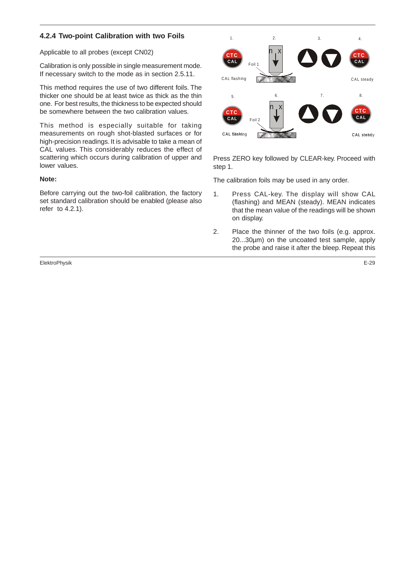## **4.2.4 Two-point Calibration with two Foils**

Applicable to all probes (except CN02)

Calibration is only possible in single measurement mode. If necessary switch to the mode as in section 2.5.11.

This method requires the use of two different foils. The thicker one should be at least twice as thick as the thin one. For best results, the thickness to be expected should be somewhere between the two calibration values.

This method is especially suitable for taking measurements on rough shot-blasted surfaces or for high-precision readings. It is advisable to take a mean of CAL values. This considerably reduces the effect of scattering which occurs during calibration of upper and lower values.

#### **Note:**

Before carrying out the two-foil calibration, the factory set standard calibration should be enabled (please also refer to 4.2.1).

ElektroPhysik E-29



Press ZERO key followed by CLEAR-key. Proceed with step 1.

The calibration foils may be used in any order.

- 1. Press CAL-key. The display will show CAL (flashing) and MEAN (steady). MEAN indicates that the mean value of the readings will be shown on display.
- 2. Place the thinner of the two foils (e.g. approx. 20...30µm) on the uncoated test sample, apply the probe and raise it after the bleep. Repeat this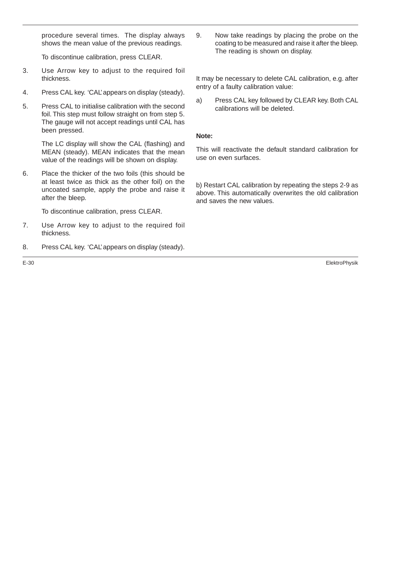procedure several times. The display always shows the mean value of the previous readings.

To discontinue calibration, press CLEAR.

- 3. Use Arrow key to adjust to the required foil thickness.
- 4. Press CAL key. 'CAL' appears on display (steady).
- 5. Press CAL to initialise calibration with the second foil. This step must follow straight on from step 5. The gauge will not accept readings until CAL has been pressed.

The LC display will show the CAL (flashing) and MEAN (steady). MEAN indicates that the mean value of the readings will be shown on display.

6. Place the thicker of the two foils (this should be at least twice as thick as the other foil) on the uncoated sample, apply the probe and raise it after the bleep.

To discontinue calibration, press CLEAR.

- 7. Use Arrow key to adjust to the required foil thickness.
- 8. Press CAL key. 'CAL' appears on display (steady).
- 

9. Now take readings by placing the probe on the coating to be measured and raise it after the bleep. The reading is shown on display.

It may be necessary to delete CAL calibration, e.g. after entry of a faulty calibration value:

a) Press CAL key followed by CLEAR key. Both CAL calibrations will be deleted.

## **Note:**

This will reactivate the default standard calibration for use on even surfaces.

b) Restart CAL calibration by repeating the steps 2-9 as above. This automatically overwrites the old calibration and saves the new values.

E-30 ElektroPhysik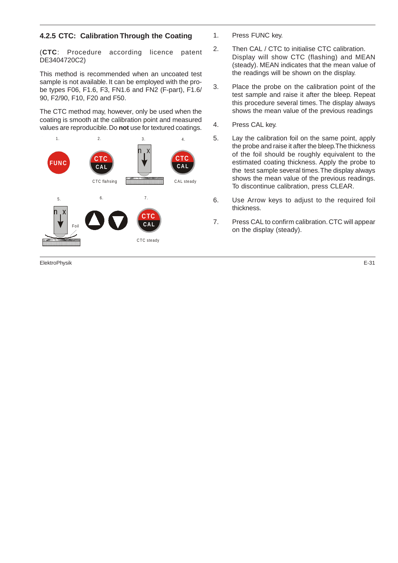## **4.2.5 CTC: Calibration Through the Coating**

(**CTC**: Procedure according licence patent DE3404720C2)

This method is recommended when an uncoated test sample is not available. It can be employed with the probe types F06, F1.6, F3, FN1.6 and FN2 (F-part), F1.6/ 90, F2/90, F10, F20 and F50.

The CTC method may, however, only be used when the coating is smooth at the calibration point and measured values are reproducible. Do **not** use for textured coatings.



ElektroPhysik E-31

- 1. Press FUNC key.
- 2. Then CAL / CTC to initialise CTC calibration. Display will show CTC (flashing) and MEAN (steady). MEAN indicates that the mean value of the readings will be shown on the display.
- 3. Place the probe on the calibration point of the test sample and raise it after the bleep. Repeat this procedure several times. The display always shows the mean value of the previous readings
- 4. Press CAL key.
- 5. Lay the calibration foil on the same point, apply the probe and raise it after the bleep.The thickness of the foil should be roughly equivalent to the estimated coating thickness. Apply the probe to the test sample several times. The display always shows the mean value of the previous readings. To discontinue calibration, press CLEAR.
- 6. Use Arrow keys to adjust to the required foil thickness.
- 7. Press CAL to confirm calibration. CTC will appear on the display (steady).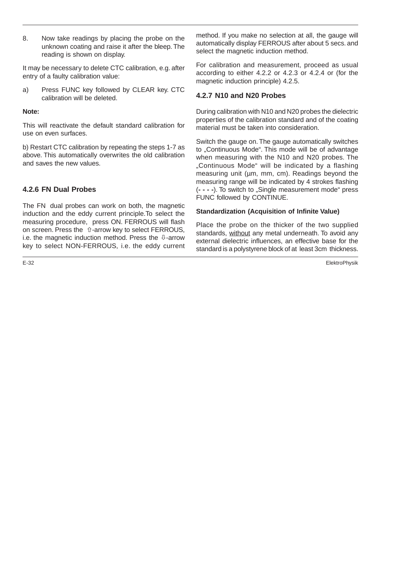8. Now take readings by placing the probe on the unknown coating and raise it after the bleep. The reading is shown on display.

It may be necessary to delete CTC calibration, e.g. after entry of a faulty calibration value:

a) Press FUNC key followed by CLEAR key. CTC calibration will be deleted.

#### **Note:**

This will reactivate the default standard calibration for use on even surfaces.

b) Restart CTC calibration by repeating the steps 1-7 as above. This automatically overwrites the old calibration and saves the new values.

## **4.2.6 FN Dual Probes**

The FN dual probes can work on both, the magnetic induction and the eddy current principle.To select the measuring procedure, press ON. FERROUS will flash on screen. Press the  $\hat{u}$ -arrow key to select FERROUS, i.e. the magnetic induction method. Press the  $\mathbb Q$ -arrow key to select NON-FERROUS, i.e. the eddy current

method. If you make no selection at all, the gauge will automatically display FERROUS after about 5 secs. and select the magnetic induction method.

For calibration and measurement, proceed as usual according to either 4.2.2 or 4.2.3 or 4.2.4 or (for the magnetic induction principle) 4.2.5.

## **4.2.7 N10 and N20 Probes**

During calibration with N10 and N20 probes the dielectric properties of the calibration standard and of the coating material must be taken into consideration.

Switch the gauge on. The gauge automatically switches to "Continuous Mode". This mode will be of advantage when measuring with the N10 and N20 probes. The "Continuous Mode" will be indicated by a flashing measuring unit (um, mm, cm). Readings beyond the measuring range will be indicated by 4 strokes flashing (**- - - -**). To switch to "Single measurement mode" press FUNC followed by CONTINUE.

#### **Standardization (Acquisition of Infinite Value)**

Place the probe on the thicker of the two supplied standards, without any metal underneath. To avoid any external dielectric influences, an effective base for the standard is a polystyrene block of at least 3cm thickness.

E-32 ElektroPhysik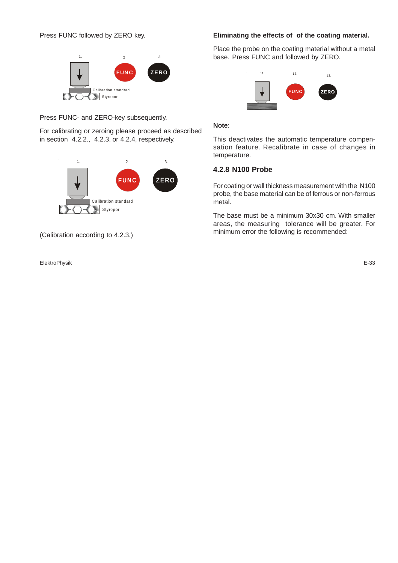#### Press FUNC followed by ZERO key.



Press FUNC- and ZERO-key subsequently.

For calibrating or zeroing please proceed as described in section 4.2.2., 4.2.3. or 4.2.4, respectively.



(Calibration according to 4.2.3.)

ElektroPhysik E-33

### **Eliminating the effects of of the coating material.**

Place the probe on the coating material without a metal base. Press FUNC and followed by ZERO.



#### **Note**:

This deactivates the automatic temperature compensation feature. Recalibrate in case of changes in temperature.

#### **4.2.8 N100 Probe**

For coating or wall thickness measurement with the N100 probe, the base material can be of ferrous or non-ferrous metal.

The base must be a minimum 30x30 cm. With smaller areas, the measuring tolerance will be greater. For minimum error the following is recommended: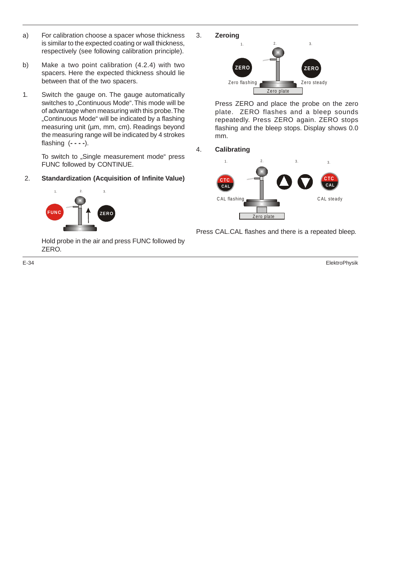- a) For calibration choose a spacer whose thickness is similar to the expected coating or wall thickness, respectively (see following calibration principle).
- b) Make a two point calibration (4.2.4) with two spacers. Here the expected thickness should lie between that of the two spacers.
- 1. Switch the gauge on. The gauge automatically switches to "Continuous Mode". This mode will be of advantage when measuring with this probe. The "Continuous Mode" will be indicated by a flashing measuring unit (µm, mm, cm). Readings beyond the measuring range will be indicated by 4 strokes flashing (**- - - -**).

To switch to "Single measurement mode" press FUNC followed by CONTINUE.

## 2. **Standardization (Acquisition of Infinite Value)**



Hold probe in the air and press FUNC followed by ZERO.



Press ZERO and place the probe on the zero plate. ZERO flashes and a bleep sounds repeatedly. Press ZERO again. ZERO stops flashing and the bleep stops. Display shows 0.0 mm.

4. **Calibrating**



Press CAL.CAL flashes and there is a repeated bleep.

E-34 ElektroPhysik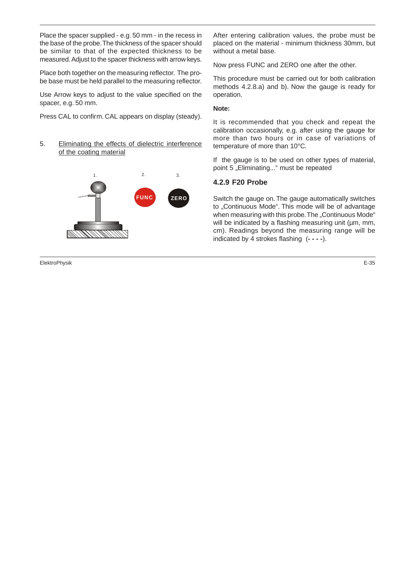Place the spacer supplied - e.g. 50 mm - in the recess in the base of the probe. The thickness of the spacer should be similar to that of the expected thickness to be measured. Adjust to the spacer thickness with arrow keys.

Place both together on the measuring reflector. The probe base must be held parallel to the measuring reflector.

Use Arrow keys to adjust to the value specified on the spacer, e.g. 50 mm.

Press CAL to confirm. CAL appears on display (steady).

5. Eliminating the effects of dielectric interference of the coating material



ElektroPhysik E-35

After entering calibration values, the probe must be placed on the material - minimum thickness 30mm, but without a metal base.

Now press FUNC and ZERO one after the other.

This procedure must be carried out for both calibration methods 4.2.8.a) and b). Now the gauge is ready for operation.

#### **Note:**

It is recommended that you check and repeat the calibration occasionally, e.g. after using the gauge for more than two hours or in case of variations of temperature of more than 10°C.

If the gauge is to be used on other types of material, point 5 "Eliminating..." must be repeated

## **4.2.9 F20 Probe**

Switch the gauge on. The gauge automatically switches to "Continuous Mode". This mode will be of advantage when measuring with this probe. The "Continuous Mode" will be indicated by a flashing measuring unit (um, mm, cm). Readings beyond the measuring range will be indicated by 4 strokes flashing (**- - - -**).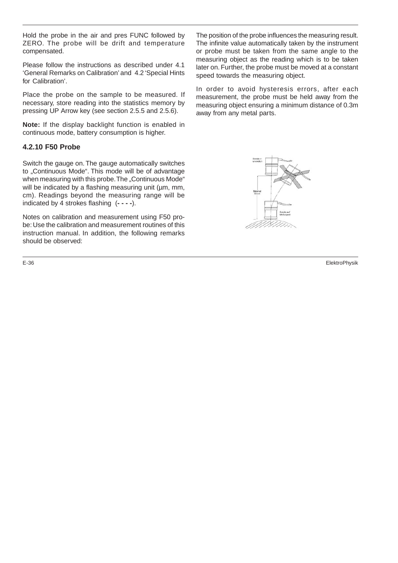Hold the probe in the air and pres FUNC followed by ZERO. The probe will be drift and temperature compensated.

Please follow the instructions as described under 4.1 'General Remarks on Calibration' and 4.2 'Special Hints for Calibration'.

Place the probe on the sample to be measured. If necessary, store reading into the statistics memory by pressing UP Arrow key (see section 2.5.5 and 2.5.6).

**Note:** If the display backlight function is enabled in continuous mode, battery consumption is higher.

## **4.2.10 F50 Probe**

Switch the gauge on. The gauge automatically switches to "Continuous Mode". This mode will be of advantage when measuring with this probe. The "Continuous Mode" will be indicated by a flashing measuring unit (um, mm, cm). Readings beyond the measuring range will be indicated by 4 strokes flashing (**- - - -**).

Notes on calibration and measurement using F50 probe: Use the calibration and measurement routines of this instruction manual. In addition, the following remarks should be observed:

The position of the probe influences the measuring result. The infinite value automatically taken by the instrument or probe must be taken from the same angle to the measuring object as the reading which is to be taken later on. Further, the probe must be moved at a constant speed towards the measuring object.

In order to avoid hysteresis errors, after each measurement, the probe must be held away from the measuring object ensuring a minimum distance of 0.3m away from any metal parts.



E-36 ElektroPhysik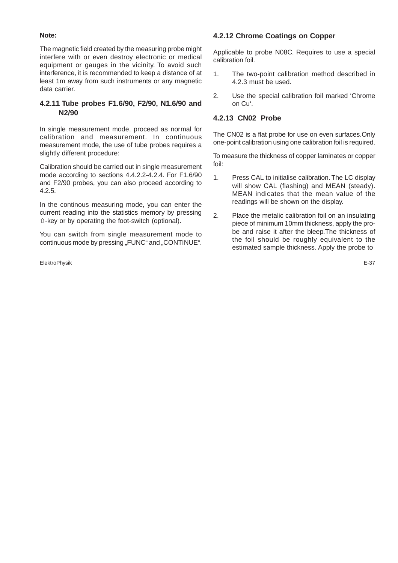#### **Note:**

The magnetic field created by the measuring probe might interfere with or even destroy electronic or medical equipment or gauges in the vicinity. To avoid such interference, it is recommended to keep a distance of at least 1m away from such instruments or any magnetic data carrier.

## **4.2.11 Tube probes F1.6/90, F2/90, N1.6/90 and N2/90**

In single measurement mode, proceed as normal for calibration and measurement. In continuous measurement mode, the use of tube probes requires a slightly different procedure:

Calibration should be carried out in single measurement mode according to sections 4.4.2.2-4.2.4. For F1.6/90 and F2/90 probes, you can also proceed according to 4.2.5.

In the continous measuring mode, you can enter the current reading into the statistics memory by pressing -key or by operating the foot-switch (optional).

You can switch from single measurement mode to continuous mode by pressing "FUNC" and "CONTINUE".

ElektroPhysik E-37

## **4.2.12 Chrome Coatings on Copper**

Applicable to probe N08C. Requires to use a special calibration foil.

- 1. The two-point calibration method described in 4.2.3 must be used.
- 2. Use the special calibration foil marked 'Chrome on Cu'.

## **4.2.13 CN02 Probe**

The CN02 is a flat probe for use on even surfaces.Only one-point calibration using one calibration foil is required.

To measure the thickness of copper laminates or copper foil:

- 1. Press CAL to initialise calibration. The LC display will show CAL (flashing) and MEAN (steady). MEAN indicates that the mean value of the readings will be shown on the display.
- 2. Place the metalic calibration foil on an insulating piece of minimum 10mm thickness, apply the probe and raise it after the bleep.The thickness of the foil should be roughly equivalent to the estimated sample thickness. Apply the probe to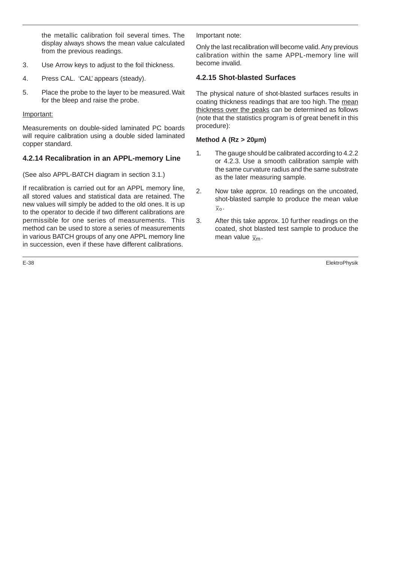the metallic calibration foil several times. The display always shows the mean value calculated from the previous readings.

- 3. Use Arrow keys to adjust to the foil thickness.
- 4. Press CAL. 'CAL' appears (steady).
- 5. Place the probe to the layer to be measured. Wait for the bleep and raise the probe.

## Important:

Measurements on double-sided laminated PC boards will require calibration using a double sided laminated copper standard.

## **4.2.14 Recalibration in an APPL-memory Line**

(See also APPL-BATCH diagram in section 3.1.)

If recalibration is carried out for an APPL memory line, all stored values and statistical data are retained. The new values will simply be added to the old ones. It is up to the operator to decide if two different calibrations are permissible for one series of measurements. This method can be used to store a series of measurements in various BATCH groups of any one APPL memory line in succession, even if these have different calibrations.

Important note:

Only the last recalibration will become valid. Any previous calibration within the same APPL-memory line will become invalid.

## **4.2.15 Shot-blasted Surfaces**

The physical nature of shot-blasted surfaces results in coating thickness readings that are too high. The mean thickness over the peaks can be determined as follows (note that the statistics program is of great benefit in this procedure):

## **Method A (Rz > 20µm)**

- 1. The gauge should be calibrated according to 4.2.2 or 4.2.3. Use a smooth calibration sample with the same curvature radius and the same substrate as the later measuring sample.
- 2. Now take approx. 10 readings on the uncoated, shot-blasted sample to produce the mean value  $\overline{\chi}_0$ .
- 3. After this take approx. 10 further readings on the coated, shot blasted test sample to produce the mean value  $\bar{x}_m$ .

E-38 ElektroPhysik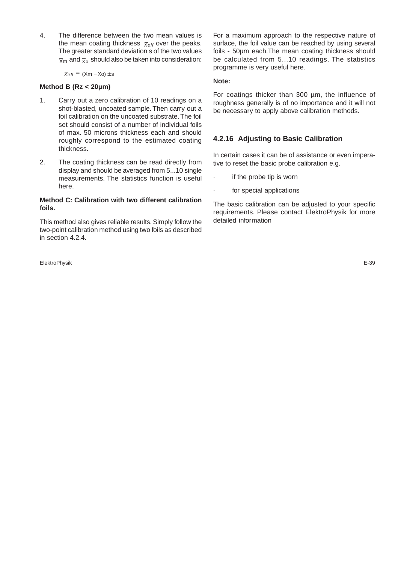4. The difference between the two mean values is the mean coating thickness  $\bar{x}_{\text{eff}}$  over the peaks. The greater standard deviation s of the two values  $\overline{x}$ <sub>m</sub> and  $\overline{x}$ <sub>o</sub> should also be taken into consideration:

#### $\overline{X}$ eff = ( $\overline{X}$ m –  $\overline{X}$ o) ± s

#### **Method B (Rz < 20µm)**

- 1. Carry out a zero calibration of 10 readings on a shot-blasted, uncoated sample. Then carry out a foil calibration on the uncoated substrate. The foil set should consist of a number of individual foils of max. 50 microns thickness each and should roughly correspond to the estimated coating thickness.
- 2. The coating thickness can be read directly from display and should be averaged from 5...10 single measurements. The statistics function is useful here.

### **Method C: Calibration with two different calibration foils.**

This method also gives reliable results. Simply follow the two-point calibration method using two foils as described in section 4.2.4.

ElektroPhysik E-39

For a maximum approach to the respective nature of surface, the foil value can be reached by using several foils - 50µm each.The mean coating thickness should be calculated from 5...10 readings. The statistics programme is very useful here.

#### **Note:**

For coatings thicker than 300 µm, the influence of roughness generally is of no importance and it will not be necessary to apply above calibration methods.

## **4.2.16 Adjusting to Basic Calibration**

In certain cases it can be of assistance or even imperative to reset the basic probe calibration e.g.

- · if the probe tip is worn
- for special applications

The basic calibration can be adjusted to your specific requirements. Please contact ElektroPhysik for more detailed information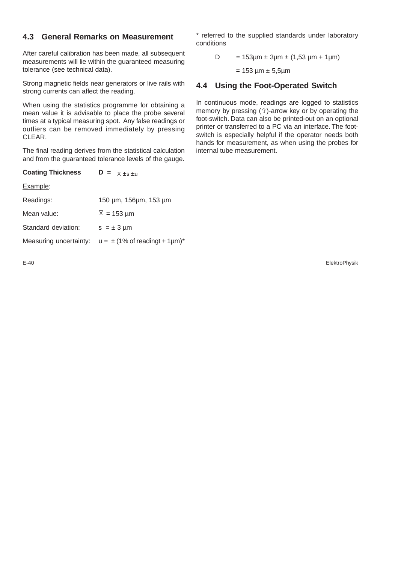## **4.3 General Remarks on Measurement**

After careful calibration has been made, all subsequent measurements will lie within the guaranteed measuring tolerance (see technical data).

Strong magnetic fields near generators or live rails with strong currents can affect the reading.

When using the statistics programme for obtaining a mean value it is advisable to place the probe several times at a typical measuring spot. Any false readings or outliers can be removed immediately by pressing CLEAR.

The final reading derives from the statistical calculation and from the guaranteed tolerance levels of the gauge.

| <b>Coating Thickness</b> | $\mathbf{D} = \overline{\mathbf{x}} + \mathbf{s} + \mathbf{u}$ |  |  |  |  |
|--------------------------|----------------------------------------------------------------|--|--|--|--|
| Example:                 |                                                                |  |  |  |  |
| Readings:                | 150 µm, 156µm, 153 µm                                          |  |  |  |  |
| Mean value:              | $\overline{X}$ = 153 µm                                        |  |  |  |  |
| Standard deviation:      | $s = \pm 3$ µm                                                 |  |  |  |  |
| Measuring uncertainty:   | $u = \pm (1\% \text{ of reading } t + 1 \mu\text{m})^*$        |  |  |  |  |

\* referred to the supplied standards under laboratory conditions

D = 
$$
153\mu m \pm 3\mu m \pm (1,53\mu m + 1\mu m)
$$

 $= 153 \mu m \pm 5.5 \mu m$ 

## **4.4 Using the Foot-Operated Switch**

In continuous mode, readings are logged to statistics memory by pressing  $(\hat{u})$ -arrow key or by operating the foot-switch. Data can also be printed-out on an optional printer or transferred to a PC via an interface. The footswitch is especially helpful if the operator needs both hands for measurement, as when using the probes for internal tube measurement.

E-40 ElektroPhysik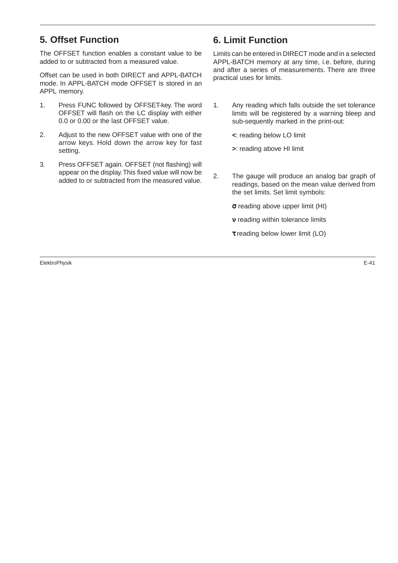# **5. Offset Function**

The OFFSET function enables a constant value to be added to or subtracted from a measured value.

Offset can be used in both DIRECT and APPL-BATCH mode. In APPL-BATCH mode OFFSET is stored in an APPL memory.

- 1. Press FUNC followed by OFFSET-key. The word OFFSET will flash on the LC display with either 0.0 or 0.00 or the last OFFSET value.
- 2. Adjust to the new OFFSET value with one of the arrow keys. Hold down the arrow key for fast setting.
- 3. Press OFFSET again. OFFSET (not flashing) will appear on the display. This fixed value will now be added to or subtracted from the measured value.

# **6. Limit Function**

Limits can be entered in DIRECT mode and in a selected APPL-BATCH memory at any time, i.e. before, during and after a series of measurements. There are three practical uses for limits.

1. Any reading which falls outside the set tolerance limits will be registered by a warning bleep and sub-sequently marked in the print-out:

**<**: reading below LO limit

**>**: reading above HI limit

- 2. The gauge will produce an analog bar graph of readings, based on the mean value derived from the set limits. Set limit symbols:
	- σ reading above upper limit (HI)
	- ν reading within tolerance limits
	- τ reading below lower limit (LO)

ElektroPhysik E-41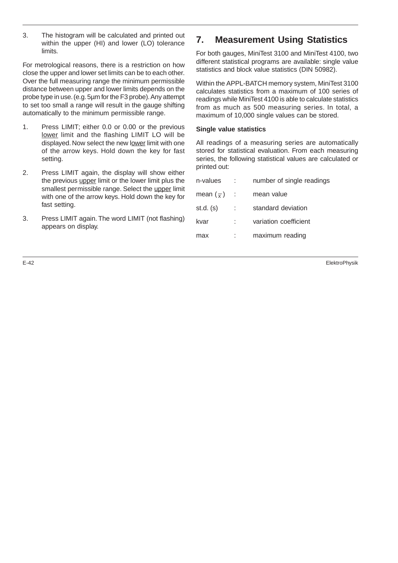3. The histogram will be calculated and printed out within the upper (HI) and lower (LO) tolerance limits.

For metrological reasons, there is a restriction on how close the upper and lower set limits can be to each other. Over the full measuring range the minimum permissible distance between upper and lower limits depends on the probe type in use. (e.g. 5µm for the F3 probe). Any attempt to set too small a range will result in the gauge shifting automatically to the minimum permissible range.

- 1. Press LIMIT; either 0.0 or 0.00 or the previous lower limit and the flashing LIMIT LO will be displayed. Now select the new lower limit with one of the arrow keys. Hold down the key for fast setting.
- 2. Press LIMIT again, the display will show either the previous upper limit or the lower limit plus the smallest permissible range. Select the upper limit with one of the arrow keys. Hold down the key for fast setting.
- 3. Press LIMIT again. The word LIMIT (not flashing) appears on display.

# **7. Measurement Using Statistics**

For both gauges, MiniTest 3100 and MiniTest 4100, two different statistical programs are available: single value statistics and block value statistics (DIN 50982).

Within the APPL-BATCH memory system, MiniTest 3100 calculates statistics from a maximum of 100 series of readings while MiniTest 4100 is able to calculate statistics from as much as 500 measuring series. In total, a maximum of 10,000 single values can be stored.

#### **Single value statistics**

All readings of a measuring series are automatically stored for statistical evaluation. From each measuring series, the following statistical values are calculated or printed out:

| n-values              |      | number of single readings |
|-----------------------|------|---------------------------|
| mean $(\overline{x})$ | - 11 | mean value                |
| $st.d.$ $(s)$         |      | standard deviation        |
| kvar                  |      | variation coefficient     |
|                       |      | maximum reading           |

E-42 ElektroPhysik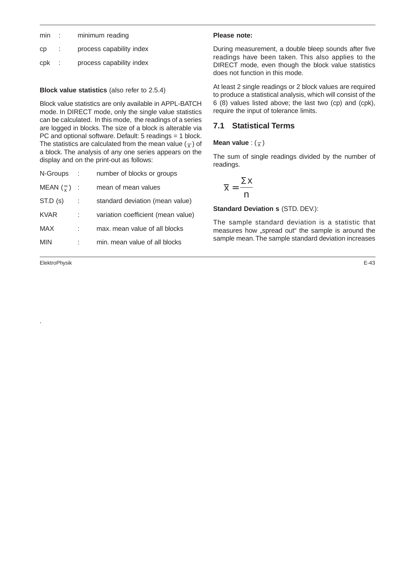| Сp |  | process capability index |  |
|----|--|--------------------------|--|
|    |  |                          |  |

| cpk |  | process capability index |  |
|-----|--|--------------------------|--|
|-----|--|--------------------------|--|

## **Block value statistics** (also refer to 2.5.4)

Block value statistics are only available in APPL-BATCH mode. In DIRECT mode, only the single value statistics can be calculated. In this mode, the readings of a series are logged in blocks. The size of a block is alterable via PC and optional software. Default: 5 readings = 1 block. The statistics are calculated from the mean value  $(\overline{x})$  of a block. The analysis of any one series appears on the display and on the print-out as follows:

| N-Groups               | ÷ | number of blocks or groups         |
|------------------------|---|------------------------------------|
| MEAN $(\frac{=}{x})$ : |   | mean of mean values                |
| ST.D(s)                |   | standard deviation (mean value)    |
| <b>KVAR</b>            |   | variation coefficient (mean value) |
| MAX                    |   | max, mean value of all blocks      |
| MIN                    |   | min. mean value of all blocks      |
|                        |   |                                    |

ElektroPhysik E-43

.

## **Please note:**

During measurement, a double bleep sounds after five readings have been taken. This also applies to the DIRECT mode, even though the block value statistics does not function in this mode.

At least 2 single readings or 2 block values are required to produce a statistical analysis, which will consist of the 6 (8) values listed above; the last two (cp) and (cpk), require the input of tolerance limits.

## **7.1 Statistical Terms**

## **Mean value** :  $(\overline{x})$

The sum of single readings divided by the number of readings.

$$
\overline{x} = \frac{\Sigma x}{n}
$$

**Standard Deviation s** (STD. DEV.):

The sample standard deviation is a statistic that measures how "spread out" the sample is around the sample mean. The sample standard deviation increases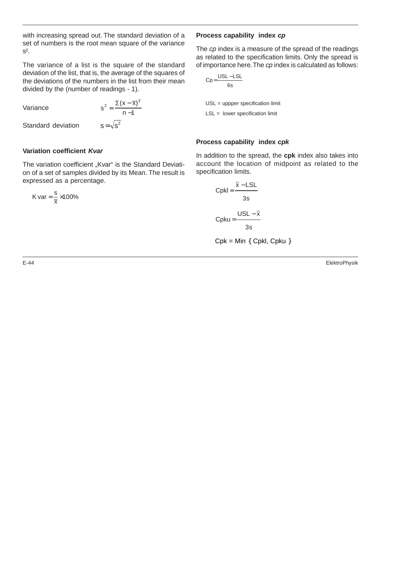with increasing spread out. The standard deviation of a set of numbers is the root mean square of the variance  $S<sup>2</sup>$ .

The variance of a list is the square of the standard deviation of the list, that is, the average of the squares of the deviations of the numbers in the list from their mean divided by the (number of readings - 1).

Variance

$$
s^{2} = \frac{\Sigma(x - \overline{x})^{2}}{n - 1}
$$

Standard deviation  $s = \sqrt{s}$ 

#### **Variation coefficient Kvar**

The variation coefficient "Kvar" is the Standard Deviation of a set of samples divided by its Mean. The result is expressed as a percentage.

$$
K \text{ var} = \frac{s}{\overline{x}} \times 100\%
$$

#### **Process capability index cp**

The cp index is a measure of the spread of the readings as related to the specification limits. Only the spread is of importance here. The cp index is calculated as follows:

$$
Cp = \frac{USL - LSL}{6s}
$$
  
USL = upper specification limit  
LSL = lower specification limit

#### **Process capability index cpk**

In addition to the spread, the **cpk** index also takes into account the location of midpoint as related to the specification limits.

$$
CpkI = \frac{\overline{x} - LSL}{3s}
$$

$$
Cpku = \frac{USL - \overline{x}}{3s}
$$

 $Cpk = Min \{ Cpkl, Cpku \}$ 

E-44 ElektroPhysik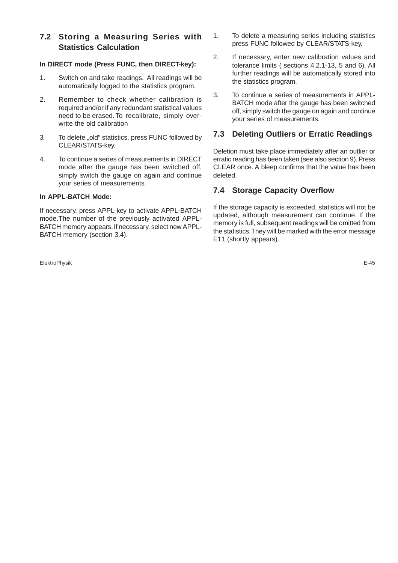## **7.2 Storing a Measuring Series with Statistics Calculation**

## **In DIRECT mode (Press FUNC, then DIRECT-key):**

- 1. Switch on and take readings. All readings will be automatically logged to the statistics program.
- 2. Remember to check whether calibration is required and/or if any redundant statistical values need to be erased. To recalibrate, simply overwrite the old calibration
- 3. To delete "old" statistics, press FUNC followed by CLEAR/STATS-key.
- 4. To continue a series of measurements in DIRECT mode after the gauge has been switched off, simply switch the gauge on again and continue your series of measurements.

## **In APPL-BATCH Mode:**

If necessary, press APPL-key to activate APPL-BATCH mode.The number of the previously activated APPL-BATCH memory appears. If necessary, select new APPL-BATCH memory (section 3.4).

ElektroPhysik E-45

- 1. To delete a measuring series including statistics press FUNC followed by CLEAR/STATS-key.
- 2. If necessary, enter new calibration values and tolerance limits ( sections 4.2.1-13, 5 and 6). All further readings will be automatically stored into the statistics program.
- 3. To continue a series of measurements in APPL-BATCH mode after the gauge has been switched off, simply switch the gauge on again and continue your series of measurements.

## **7.3 Deleting Outliers or Erratic Readings**

Deletion must take place immediately after an outlier or erratic reading has been taken (see also section 9). Press CLEAR once. A bleep confirms that the value has been deleted.

## **7.4 Storage Capacity Overflow**

If the storage capacity is exceeded, statistics will not be updated, although measurement can continue. If the memory is full, subsequent readings will be omitted from the statistics. They will be marked with the error message E11 (shortly appears).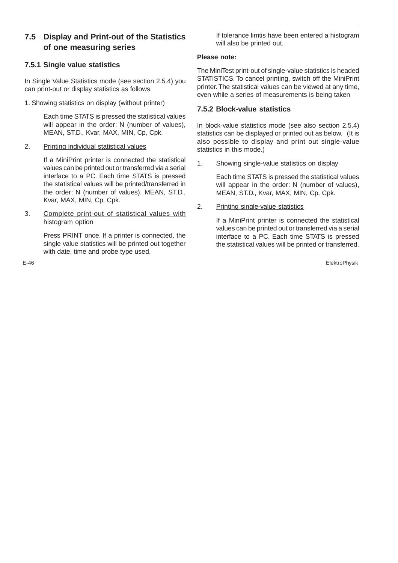## **7.5 Display and Print-out of the Statistics of one measuring series**

## **7.5.1 Single value statistics**

In Single Value Statistics mode (see section 2.5.4) you can print-out or display statistics as follows:

1. Showing statistics on display (without printer)

Each time STATS is pressed the statistical values will appear in the order: N (number of values), MEAN, ST.D., Kvar, MAX, MIN, Cp, Cpk.

2. Printing individual statistical values

If a MiniPrint printer is connected the statistical values can be printed out or transferred via a serial interface to a PC. Each time STATS is pressed the statistical values will be printed/transferred in the order: N (number of values), MEAN, ST.D., Kvar, MAX, MIN, Cp, Cpk.

3. Complete print-out of statistical values with histogram option

> Press PRINT once. If a printer is connected, the single value statistics will be printed out together with date, time and probe type used.

If tolerance limtis have been entered a histogram will also be printed out.

## **Please note:**

The MiniTest print-out of single-value statistics is headed STATISTICS. To cancel printing, switch off the MiniPrint printer. The statistical values can be viewed at any time, even while a series of measurements is being taken

## **7.5.2 Block-value statistics**

In block-value statistics mode (see also section 2.5.4) statistics can be displayed or printed out as below. (It is also possible to display and print out single-value statistics in this mode.)

1. Showing single-value statistics on display

Each time STATS is pressed the statistical values will appear in the order: N (number of values), MEAN, ST.D., Kvar, MAX, MIN, Cp, Cpk.

2. Printing single-value statistics

If a MiniPrint printer is connected the statistical values can be printed out or transferred via a serial interface to a PC. Each time STATS is pressed the statistical values will be printed or transferred.

E-46 ElektroPhysik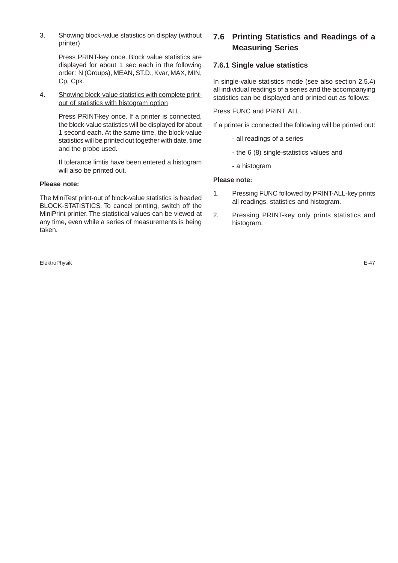3. Showing block-value statistics on display (without printer)

> Press PRINT-key once. Block value statistics are displayed for about 1 sec each in the following order: N (Groups), MEAN, ST.D., Kvar, MAX, MIN, Cp, Cpk.

4. Showing block-value statistics with complete printout of statistics with histogram option

> Press PRINT-key once. If a printer is connected, the block-value statistics will be displayed for about 1 second each. At the same time, the block-value statistics will be printed out together with date, time and the probe used.

> If tolerance limtis have been entered a histogram will also be printed out.

#### **Please note:**

The MiniTest print-out of block-value statistics is headed BLOCK-STATISTICS. To cancel printing, switch off the MiniPrint printer. The statistical values can be viewed at any time, even while a series of measurements is being taken.

ElektroPhysik E-47

## **7.6 Printing Statistics and Readings of a Measuring Series**

## **7.6.1 Single value statistics**

In single-value statistics mode (see also section 2.5.4) all individual readings of a series and the accompanying statistics can be displayed and printed out as follows:

Press FUNC and PRINT ALL.

If a printer is connected the following will be printed out:

- all readings of a series
- the 6 (8) single-statistics values and
- a histogram

#### **Please note:**

- 1. Pressing FUNC followed by PRINT-ALL-key prints all readings, statistics and histogram.
- 2. Pressing PRINT-key only prints statistics and histogram.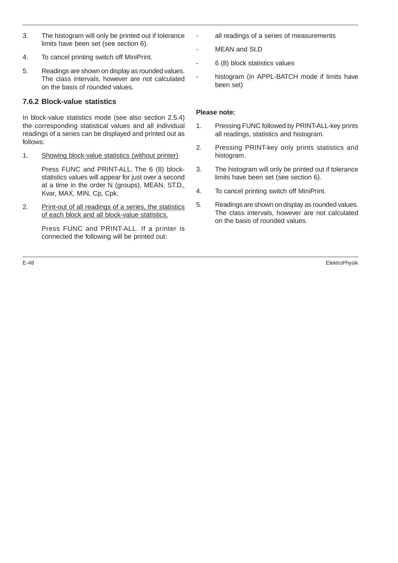- 3. The histogram will only be printed out if tolerance limits have been set (see section 6).
- 4. To cancel printing switch off MiniPrint.
- 5. Readings are shown on display as rounded values. The class intervals, however are not calculated on the basis of rounded values.

## **7.6.2 Block-value statistics**

In block-value statistics mode (see also section 2.5.4) the corresponding statistical values and all individual readings of a series can be displayed and printed out as follows:

1. Showing block-value statistics (without printer)

Press FUNC and PRINT-ALL. The 6 (8) blockstatistics values will appear for just over a second at a time in the order N (groups), MEAN, ST.D., Kvar, MAX, MIN, Cp, Cpk.

2. Print-out of all readings of a series, the statistics of each block and all block-value statistics.

> Press FUNC and PRINT-ALL. If a printer is connected the following will be printed out:

- all readings of a series of measurements
- MFAN and St.D.
- 6 (8) block statistics values
- histogram (in APPL-BATCH mode if limits have been set)

## **Please note:**

- 1. Pressing FUNC followed by PRINT-ALL-key prints all readings, statistics and histogram.
- 2. Pressing PRINT-key only prints statistics and histogram.
- 3. The histogram will only be printed out if tolerance limits have been set (see section 6).
- 4. To cancel printing switch off MiniPrint.
- 5. Readings are shown on display as rounded values. The class intervals, however are not calculated on the basis of rounded values.

E-48 ElektroPhysik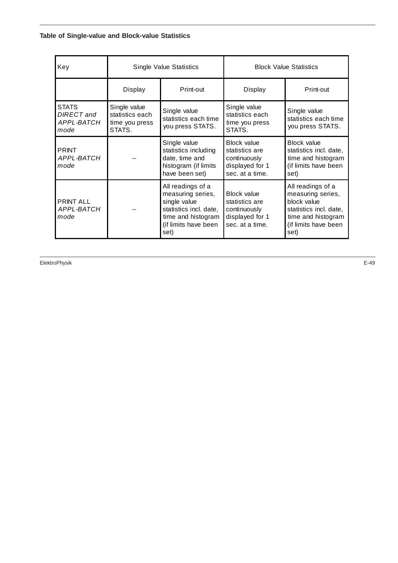## **Table of Single-value and Block-value Statistics**

| Key                                              | <b>Single Value Statistics</b>                              |                                                                                                  | <b>Block Value Statistics</b>                                                              |                                                                                                                                       |
|--------------------------------------------------|-------------------------------------------------------------|--------------------------------------------------------------------------------------------------|--------------------------------------------------------------------------------------------|---------------------------------------------------------------------------------------------------------------------------------------|
|                                                  | Print-out<br>Display                                        |                                                                                                  | Display                                                                                    | Print-out                                                                                                                             |
| <b>STATS</b><br>DIRECT and<br>APPL-BATCH<br>mode | Single value<br>statistics each<br>time you press<br>STATS. | Single value<br>statistics each time<br>you press STATS.                                         | Single value<br>statistics each<br>time you press<br>STATS.                                | Single value<br>statistics each time<br>you press STATS.                                                                              |
| <b>PRINT</b><br>APPL-BATCH<br>mode               |                                                             | Single value<br>statistics including<br>date, time and<br>histogram (if limits<br>have been set) | <b>Block value</b><br>statistics are<br>continuously<br>displayed for 1<br>sec. at a time. | Block value<br>statistics incl. date,<br>time and histogram<br>(if limits have been<br>set)                                           |
| <b>PRINT ALL</b><br>APPL-BATCH<br>mode           |                                                             |                                                                                                  | <b>Block value</b><br>statistics are<br>continuously<br>displayed for 1<br>sec. at a time. | All readings of a<br>measuring series,<br>block value<br>statistics incl. date,<br>time and histogram<br>(if limits have been<br>set) |

ElektroPhysik E-49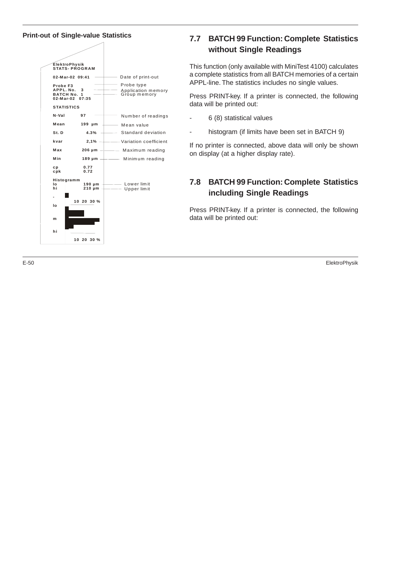**Print-out of Single-value Statistics**



## **7.7 BATCH 99 Function: Complete Statistics without Single Readings**

This function (only available with MiniTest 4100) calculates a complete statistics from all BATCH memories of a certain APPL-line. The statistics includes no single values.

Press PRINT-key. If a printer is connected, the following data will be printed out:

- 6 (8) statistical values
- histogram (if limits have been set in BATCH 9)

If no printer is connected, above data will only be shown on display (at a higher display rate).

## **7.8 BATCH 99 Function: Complete Statistics including Single Readings**

Press PRINT-key. If a printer is connected, the following data will be printed out:

E-50 ElektroPhysik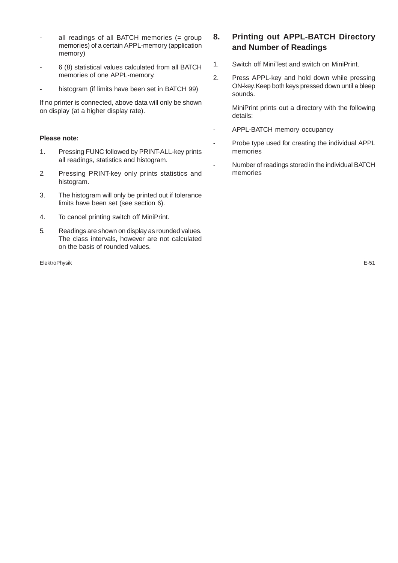- all readings of all BATCH memories  $(=$  group memories) of a certain APPL-memory (application memory)
- 6 (8) statistical values calculated from all BATCH memories of one APPL-memory.
- histogram (if limits have been set in BATCH 99)

If no printer is connected, above data will only be shown on display (at a higher display rate).

#### **Please note:**

- 1. Pressing FUNC followed by PRINT-ALL-key prints all readings, statistics and histogram.
- 2. Pressing PRINT-key only prints statistics and histogram.
- 3. The histogram will only be printed out if tolerance limits have been set (see section 6).
- 4. To cancel printing switch off MiniPrint.
- 5. Readings are shown on display as rounded values. The class intervals, however are not calculated on the basis of rounded values.

ElektroPhysik E-51

## **8. Printing out APPL-BATCH Directory and Number of Readings**

- 1. Switch off MiniTest and switch on MiniPrint.
- 2. Press APPL-key and hold down while pressing ON-key. Keep both keys pressed down until a bleep sounds.

MiniPrint prints out a directory with the following details:

- APPL-BATCH memory occupancy
- Probe type used for creating the individual APPL memories
- Number of readings stored in the individual BATCH memories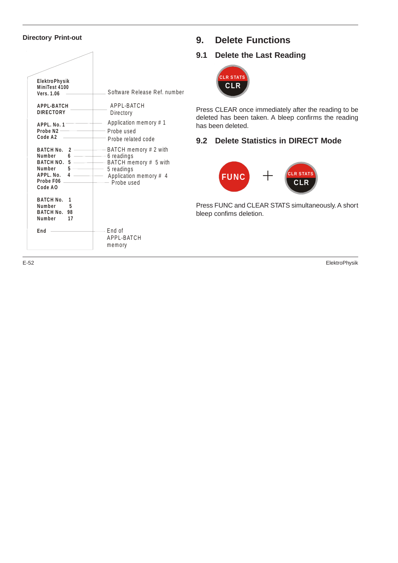## **Directory Print-out**

| <b>ElektroPhysik</b><br>MiniTest 4100<br>Vers. 1.06                                              | Software Release Ref. number                                                                                              |
|--------------------------------------------------------------------------------------------------|---------------------------------------------------------------------------------------------------------------------------|
| <b>APPL-BATCH</b><br><b>DIRECTORY</b>                                                            | APPL-BATCH<br>Directory                                                                                                   |
| APPL. No. 1<br>Probe N2 -<br>Code A2                                                             | Application memory # 1<br>- Probe used<br>Probe related code                                                              |
| BATCH No. 2<br>Number<br>6<br>BATCH NO. 5<br>Number 5<br>APPL. No.<br>4<br>Probe F06.<br>Code AO | — BATCH memory # 2 with<br>-6 readings<br>— BATCH memory # 5 with<br>5 readings<br>Application memory # 4<br>- Probe used |
| <b>BATCH No.</b><br>1<br>Number<br>5<br>BATCH No. 98<br>Number<br>17                             |                                                                                                                           |
| End                                                                                              | End of<br>APPL-BATCH<br>memory                                                                                            |

# **9. Delete Functions**

## **9.1 Delete the Last Reading**



Press CLEAR once immediately after the reading to be deleted has been taken. A bleep confirms the reading has been deleted.

## **9.2 Delete Statistics in DIRECT Mode**



Press FUNC and CLEAR STATS simultaneously. A short bleep confims deletion.

E-52 ElektroPhysik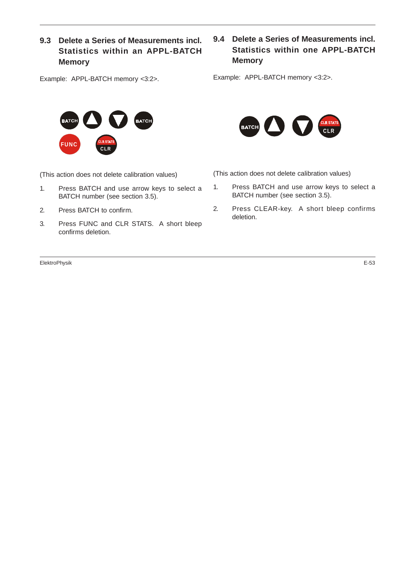## **9.3 Delete a Series of Measurements incl. Statistics within an APPL-BATCH Memory**

Example: APPL-BATCH memory <3:2>.



(This action does not delete calibration values)

- 1. Press BATCH and use arrow keys to select a BATCH number (see section 3.5).
- 2. Press BATCH to confirm.
- 3. Press FUNC and CLR STATS. A short bleep confirms deletion.

ElektroPhysik E-53

## **9.4 Delete a Series of Measurements incl. Statistics within one APPL-BATCH Memory**

Example: APPL-BATCH memory <3:2>.



(This action does not delete calibration values)

- 1. Press BATCH and use arrow keys to select a BATCH number (see section 3.5).
- 2. Press CLEAR-key. A short bleep confirms deletion.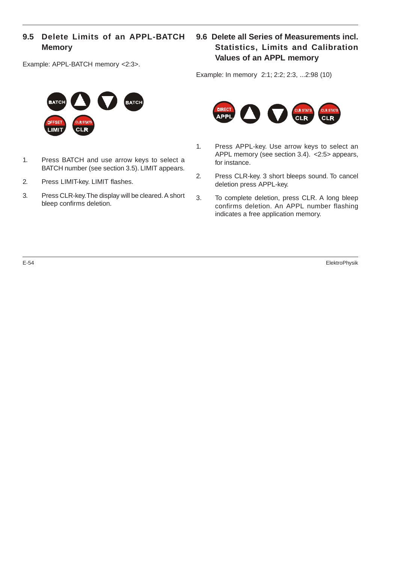## **9.5 Delete Limits of an APPL-BATCH Memory**

Example: APPL-BATCH memory <2:3>.



- 1. Press BATCH and use arrow keys to select a BATCH number (see section 3.5). LIMIT appears.
- 2. Press LIMIT-key. LIMIT flashes.
- 3. Press CLR-key. The display will be cleared. A short bleep confirms deletion.

## **9.6 Delete all Series of Measurements incl. Statistics, Limits and Calibration Values of an APPL memory**

Example: In memory 2:1; 2:2; 2:3, ...2:98 (10)



- 1. Press APPL-key. Use arrow keys to select an APPL memory (see section 3.4). <2:5> appears, for instance.
- 2. Press CLR-key. 3 short bleeps sound. To cancel deletion press APPL-key.
- 3. To complete deletion, press CLR. A long bleep confirms deletion. An APPL number flashing indicates a free application memory.

E-54 ElektroPhysik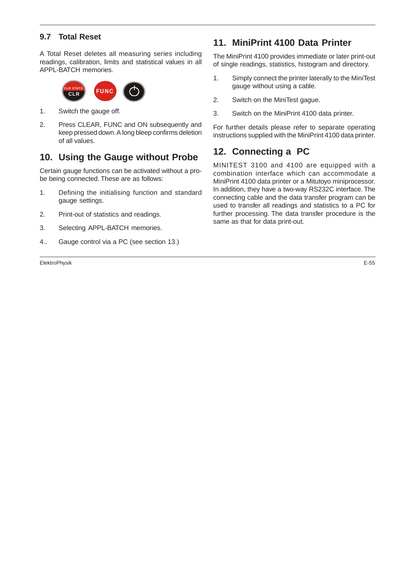## **9.7 Total Reset**

A Total Reset deletes all measuring series including readings, calibration, limits and statistical values in all APPL-BATCH memories.



- 1. Switch the gauge off.
- 2. Press CLEAR, FUNC and ON subsequently and keep pressed down. A long bleep confirms deletion of all values.

## **10. Using the Gauge without Probe**

Certain gauge functions can be activated without a probe being connected. These are as follows:

- 1. Defining the initialising function and standard gauge settings.
- 2. Print-out of statistics and readings.
- 3. Selecting APPL-BATCH memories.
- 4.. Gauge control via a PC (see section 13.)

ElektroPhysik E-55

# **11. MiniPrint 4100 Data Printer**

The MiniPrint 4100 provides immediate or later print-out of single readings, statistics, histogram and directory.

- 1. Simply connect the printer laterally to the MiniTest gauge without using a cable.
- 2. Switch on the MiniTest gague.
- 3. Switch on the MiniPrint 4100 data printer.

For further details please refer to separate operating instructions supplied with the MiniPrint 4100 data printer.

# **12. Connecting a PC**

MINITEST 3100 and 4100 are equipped with a combination interface which can accommodate a MiniPrint 4100 data printer or a Mitutoyo miniprocessor. In addition, they have a two-way RS232C interface. The connecting cable and the data transfer program can be used to transfer all readings and statistics to a PC for further processing. The data transfer procedure is the same as that for data print-out.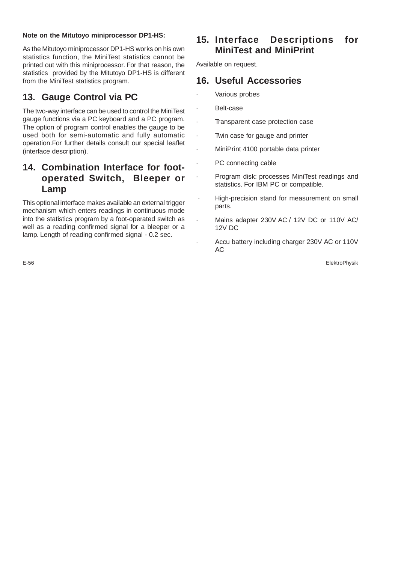## **Note on the Mitutoyo miniprocessor DP1-HS:**

As the Mitutoyo miniprocessor DP1-HS works on his own statistics function, the MiniTest statistics cannot be printed out with this miniprocessor. For that reason, the statistics provided by the Mitutoyo DP1-HS is different from the MiniTest statistics program.

# **13. Gauge Control via PC**

The two-way interface can be used to control the MiniTest gauge functions via a PC keyboard and a PC program. The option of program control enables the gauge to be used both for semi-automatic and fully automatic operation.For further details consult our special leaflet (interface description).

## **14. Combination Interface for footoperated Switch, Bleeper or Lamp**

This optional interface makes available an external trigger mechanism which enters readings in continuous mode into the statistics program by a foot-operated switch as well as a reading confirmed signal for a bleeper or a lamp. Length of reading confirmed signal - 0.2 sec.

# **15. Interface Descriptions for MiniTest and MiniPrint**

Available on request.

## **16. Useful Accessories**

- Various probes
	- Belt-case
		- Transparent case protection case
		- Twin case for gauge and printer
	- MiniPrint 4100 portable data printer
	- PC connecting cable
	- · Program disk: processes MiniTest readings and statistics. For IBM PC or compatible.
	- High-precision stand for measurement on small parts.
		- Mains adapter 230V AC / 12V DC or 110V AC/ 12V DC
		- Accu battery including charger 230V AC or 110V AC

E-56 ElektroPhysik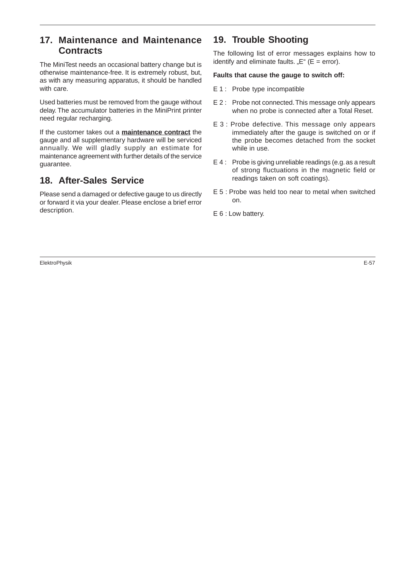# **17. Maintenance and Maintenance Contracts**

The MiniTest needs an occasional battery change but is otherwise maintenance-free. It is extremely robust, but, as with any measuring apparatus, it should be handled with care.

Used batteries must be removed from the gauge without delay. The accumulator batteries in the MiniPrint printer need regular recharging.

If the customer takes out a **maintenance contract** the gauge and all supplementary hardware will be serviced annually. We will gladly supply an estimate for maintenance agreement with further details of the service guarantee.

# **18. After-Sales Service**

Please send a damaged or defective gauge to us directly or forward it via your dealer. Please enclose a brief error description.

# **19. Trouble Shooting**

The following list of error messages explains how to identify and eliminate faults. " $E''$  ( $E = error$ ).

## **Faults that cause the gauge to switch off:**

- E 1 : Probe type incompatible
- E 2 : Probe not connected. This message only appears when no probe is connected after a Total Reset.
- E 3 : Probe defective. This message only appears immediately after the gauge is switched on or if the probe becomes detached from the socket while in use.
- E 4 : Probe is giving unreliable readings (e.g. as a result of strong fluctuations in the magnetic field or readings taken on soft coatings).
- E 5 : Probe was held too near to metal when switched on.
- E 6 : Low battery.

ElektroPhysik E-57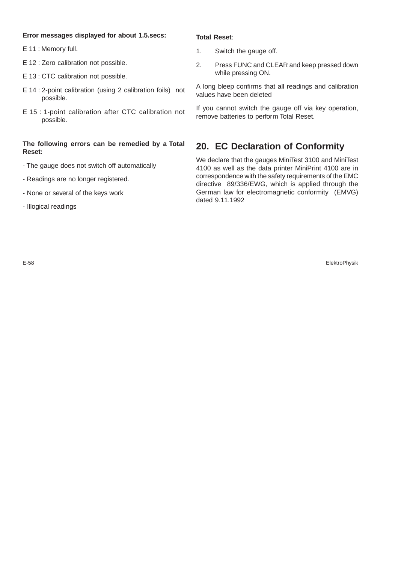#### **Error messages displayed for about 1.5.secs:**

E 11 : Memory full.

- E 12 : Zero calibration not possible.
- E 13 : CTC calibration not possible.
- E 14 : 2-point calibration (using 2 calibration foils) not possible.
- E 15 : 1-point calibration after CTC calibration not possible.

## **The following errors can be remedied by a Total Reset:**

- The gauge does not switch off automatically
- Readings are no longer registered.
- None or several of the keys work
- Illogical readings

#### **Total Reset**:

- 1. Switch the gauge off.
- 2. Press FUNC and CLEAR and keep pressed down while pressing ON.

A long bleep confirms that all readings and calibration values have been deleted

If you cannot switch the gauge off via key operation, remove batteries to perform Total Reset.

# **20. EC Declaration of Conformity**

We declare that the gauges MiniTest 3100 and MiniTest 4100 as well as the data printer MiniPrint 4100 are in correspondence with the safety requirements of the EMC directive 89/336/EWG, which is applied through the German law for electromagnetic conformity (EMVG) dated 9.11.1992

E-58 ElektroPhysik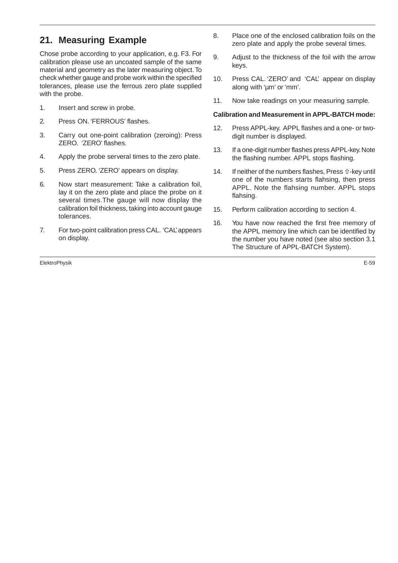# **21. Measuring Example**

Chose probe according to your application, e.g. F3. For calibration please use an uncoated sample of the same material and geometry as the later measuring object. To check whether gauge and probe work within the specified tolerances, please use the ferrous zero plate supplied with the probe.

- 1. Insert and screw in probe.
- 2. Press ON. 'FERROUS' flashes.
- 3. Carry out one-point calibration (zeroing): Press ZERO. 'ZERO' flashes.
- 4. Apply the probe serveral times to the zero plate.
- 5. Press ZERO. 'ZERO' appears on display.
- 6. Now start measurement: Take a calibration foil, lay it on the zero plate and place the probe on it several times.The gauge will now display the calibration foil thickness, taking into account gauge tolerances.
- 7. For two-point calibration press CAL. 'CAL' appears on display.

ElektroPhysik E-59

- 8. Place one of the enclosed calibration foils on the zero plate and apply the probe several times.
- 9. Adjust to the thickness of the foil with the arrow keys.
- 10. Press CAL. 'ZERO' and 'CAL' appear on display along with 'um' or 'mm'.
- 11. Now take readings on your measuring sample.

#### **Calibration and Measurement in APPL-BATCH mode:**

- 12. Press APPL-key. APPL flashes and a one- or twodigit number is displayed.
- 13. If a one-digit number flashes press APPL-key. Note the flashing number. APPL stops flashing.
- 14. If neither of the numbers flashes, Press  $\hat{u}$ -key until one of the numbers starts flahsing, then press APPL. Note the flahsing number. APPL stops flahsing.
- 15. Perform calibration according to section 4.
- 16. You have now reached the first free memory of the APPL memory line which can be identified by the number you have noted (see also section 3.1 The Structure of APPL-BATCH System).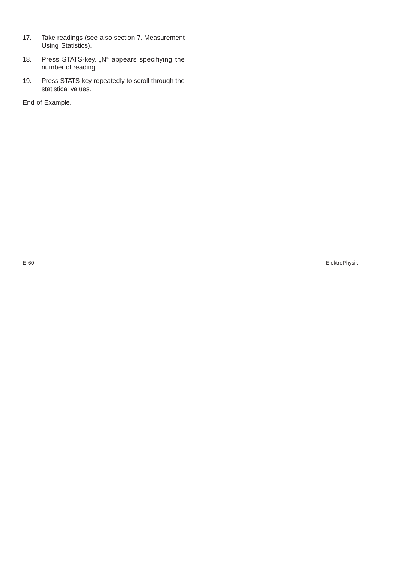- 17. Take readings (see also section 7. Measurement Using Statistics).
- 18. Press STATS-key. "N" appears specifiying the number of reading.
- 19. Press STATS-key repeatedly to scroll through the statistical values.

End of Example.

E-60 ElektroPhysik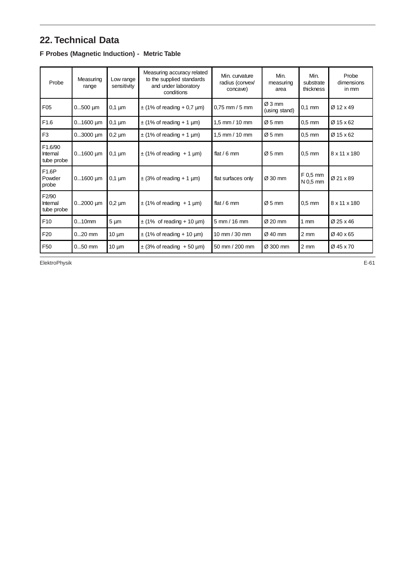# **22. Technical Data**

| Probe                                          | Measuring<br>range | Low range<br>sensitivity | Measuring accuracy related<br>to the supplied standards<br>and under laboratory<br>conditions | Min. curvature<br>radius (convex/<br>concave) | Min.<br>measuring<br>area | Min.<br>substrate<br>thickness | Probe<br>dimensions<br>in mm |
|------------------------------------------------|--------------------|--------------------------|-----------------------------------------------------------------------------------------------|-----------------------------------------------|---------------------------|--------------------------------|------------------------------|
| F <sub>05</sub>                                | $0500$ µm          | $0,1 \mu m$              | $\pm$ (1% of reading + 0,7 µm)                                                                | $0,75$ mm / 5 mm                              | Ø3mm<br>(using stand)     | $0.1$ mm                       | Ø 12 x 49                    |
| F <sub>1.6</sub>                               | $01600 \mu m$      | $0,1 \mu m$              | $\pm$ (1% of reading + 1 µm)                                                                  | 1,5 mm / 10 mm                                | $\varnothing$ 5 mm        | $0.5$ mm                       | Ø 15 x 62                    |
| F <sub>3</sub>                                 | $03000$ µm         | $0,2 \mu m$              | $\pm$ (1% of reading + 1 µm)                                                                  | 1,5 mm / 10 mm                                | $Ø5$ mm                   | $0.5$ mm                       | Ø 15 x 62                    |
| F <sub>1.6</sub> /90<br>Internal<br>tube probe | $01600 \mu m$      | $0,1 \mu m$              | $\pm$ (1% of reading + 1 µm)                                                                  | flat / 6 mm                                   | $Ø5$ mm                   | $0.5$ mm                       | 8 x 11 x 180                 |
| F1.6P<br>Powder<br>probe                       | $01600 \mu m$      | $0,1 \mu m$              | $\pm$ (3% of reading + 1 µm)                                                                  | flat surfaces only                            | Ø 30 mm                   | F 0,5 mm<br>N 0,5 mm           | Ø 21 x 89                    |
| F2/90<br>Internal<br>tube probe                | $02000$ µm         | $0,2 \mu m$              | $\pm$ (1% of reading + 1 µm)                                                                  | flat / 6 mm                                   | $\varnothing$ 5 mm        | $0.5$ mm                       | 8 x 11 x 180                 |
| F <sub>10</sub>                                | $010$ mm           | $5 \mu m$                | $\pm$ (1% of reading + 10 µm)                                                                 | $5$ mm $/$ 16 mm                              | $\varnothing$ 20 mm       | $1 \text{ mm}$                 | Ø 25 x 46                    |
| F <sub>20</sub>                                | $020$ mm           | $10 \mu m$               | $\pm$ (1% of reading + 10 µm)                                                                 | 10 mm / 30 mm                                 | $Ø$ 40 mm                 | $2 \, \text{mm}$               | Ø 40 x 65                    |
| F <sub>50</sub>                                | $050$ mm           | $10 \mu m$               | $\pm$ (3% of reading +50 µm)                                                                  | 50 mm / 200 mm                                | Ø 300 mm                  | $2 \, \text{mm}$               | Ø45 x 70                     |

## **F Probes (Magnetic Induction) - Metric Table**

ElektroPhysik E-61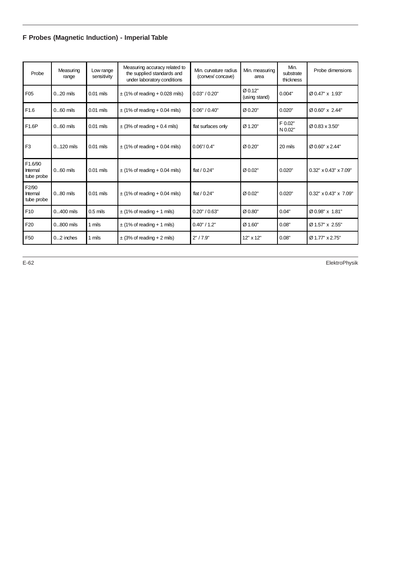# **F Probes (Magnetic Induction) - Imperial Table**

| Probe                                        | Measuring<br>range | Low range<br>sensitivity | Measuring accuracy related to<br>the supplied standards and<br>under laboratory conditions | Min. curvature radius<br>(convex/concave) | Min. measuring<br>area   | Min.<br>substrate<br>thickness | Probe dimensions                  |
|----------------------------------------------|--------------------|--------------------------|--------------------------------------------------------------------------------------------|-------------------------------------------|--------------------------|--------------------------------|-----------------------------------|
| F <sub>05</sub>                              | $020$ mils         | $0.01$ mils              | $\pm$ (1% of reading + 0.028 mils)                                                         | 0.03" / 0.20"                             | Ø 0.12"<br>(using stand) | 0.004"                         | Ø0.47" x 1.93"                    |
| F <sub>1.6</sub>                             | $060$ mils         | $0.01$ mils              | $\pm$ (1% of reading + 0.04 mils)                                                          | 0.06" / 0.40"                             | Ø 0.20"                  | 0.020"                         | Ø 0.60" x 2.44"                   |
| F1.6P                                        | $060$ mils         | $0.01$ mils              | $\pm$ (3% of reading + 0.4 mils)                                                           | flat surfaces only                        | Ø 1.20"                  | F 0.02"<br>N 0.02"             | Ø 0.83 x 3.50"                    |
| F <sub>3</sub>                               | $0120$ mils        | $0.01$ mils              | $\pm$ (1% of reading + 0.04 mils)                                                          | 0.06''/0.4''                              | Ø 0.20"                  | 20 mils                        | Ø0.60" x 2.44"                    |
| F1.6/90<br>Internal<br>tube probe            | $060$ mils         | $0.01$ mils              | $\pm$ (1% of reading + 0.04 mils)                                                          | flat $/ 0.24"$                            | Ø 0.02"                  | 0.020"                         | $0.32" \times 0.43" \times 7.09"$ |
| F <sub>2</sub> /90<br>Internal<br>tube probe | $080$ mils         | $0.01$ mils              | $\pm$ (1% of reading + 0.04 mils)                                                          | flat $/ 0.24"$                            | Ø 0.02"                  | 0.020"                         | $0.32" \times 0.43" \times 7.09"$ |
| F <sub>10</sub>                              | $0400$ mils        | $0.5$ mils               | $\pm$ (1% of reading + 1 mils)                                                             | 0.20" / 0.63"                             | Ø0.80"                   | 0.04"                          | Ø0.98" x 1.81"                    |
| F <sub>20</sub>                              | $0800$ mils        | 1 mils                   | $\pm$ (1% of reading + 1 mils)                                                             | 0.40" / 1.2"                              | Ø 1.60"                  | 0.08"                          | Ø 1.57" x 2.55"                   |
| F <sub>50</sub>                              | $02$ inches        | 1 mils                   | $\pm$ (3% of reading + 2 mils)                                                             | 2" / 7.9"                                 | 12" x 12"                | 0.08"                          | Ø 1.77" x 2.75"                   |

E-62 ElektroPhysik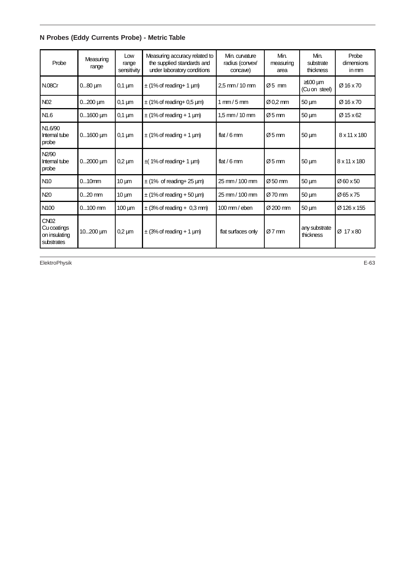**N Probes (Eddy Currents Probe) - Metric Table**

| Probe                                                     | Measuring<br>range | Low<br>range<br>sensitivity | Measuring accuracy related to<br>the supplied standards and<br>under laboratory conditions | Min. curvature<br>radius (convex/<br>concave) | Min.<br>measuring<br>area | Min.<br>substrate<br>thickness | Probe<br>dimensions<br>in mm |
|-----------------------------------------------------------|--------------------|-----------------------------|--------------------------------------------------------------------------------------------|-----------------------------------------------|---------------------------|--------------------------------|------------------------------|
| <b>N.08Cr</b>                                             | $080 \mu m$        | $0,1 \mu m$                 | $\pm$ (1% of reading + 1 µm)                                                               | 2,5 mm / 10 mm                                | $Ø5$ mm                   | $\geq$ 100 µm<br>(Cu on steel) | Ø16 x 70                     |
| N <sub>02</sub>                                           | $0200$ $\mu$ m     | $0,1 \mu m$                 | $\pm$ (1% of reading+ 0,5 µm)                                                              | $1 \text{ mm} / 5 \text{ mm}$                 | $\varnothing$ 0.2 mm      | $50 \mu m$                     | $Ø$ 16 x 70                  |
| N <sub>1.6</sub>                                          | $01600$ $\mu$ m    | $0,1 \mu m$                 | $\pm$ (1% of reading + 1 µm)                                                               | $1.5$ mm / 10 mm                              | $\varnothing$ 5 mm        | $50 \mu m$                     | Ø15 x 62                     |
| N <sub>1.6</sub> /90<br>Internal tube<br>probe            | $01600$ $\mu$ m    | $0,1 \mu m$                 | $\pm$ (1% of reading + 1 µm)                                                               | flat $/6$ mm                                  | $\varnothing$ 5 mm        | $50 \mu m$                     | 8 x 11 x 180                 |
| N2/90<br>Internal tube<br>probe                           | $02000$ $\mu$ m    | $0,2 \mu m$                 | $\pm$ (1% of reading + 1 µm)                                                               | flat $/6$ mm                                  | $\varnothing$ 5 mm        | $50 \mu m$                     | 8 x 11 x 180                 |
| N <sub>10</sub>                                           | $010$ mm           | $10 \mu m$                  | $\pm$ (1% of reading + 25 µm)                                                              | 25 mm / 100 mm                                | $\varnothing$ 50 mm       | $50 \mu m$                     | $\varnothing$ 60 x 50        |
| N <sub>20</sub>                                           | $020$ mm           | $10 \mu m$                  | $\pm$ (1% of reading + 50 µm)                                                              | 25 mm / 100 mm                                | Ø 70 mm                   | $50 \mu m$                     | Ø65 x 75                     |
| N <sub>100</sub>                                          | $0100$ mm          | $100 \mu m$                 | $\pm$ (3% of reading + 0,3 mm)                                                             | $100 \text{ mm}$ / eben                       | $\varnothing$ 200 mm      | $50 \mu m$                     | Ø126 x 155                   |
| <b>CN02</b><br>Cu coatings<br>on insulating<br>substrates | 10 $200 \mu m$     | $0,2 \mu m$                 | $\pm$ (3% of reading + 1 µm)                                                               | flat surfaces only                            | $Ø7$ mm                   | any substrate<br>thickness     | $Ø$ 17 $\times$ 80           |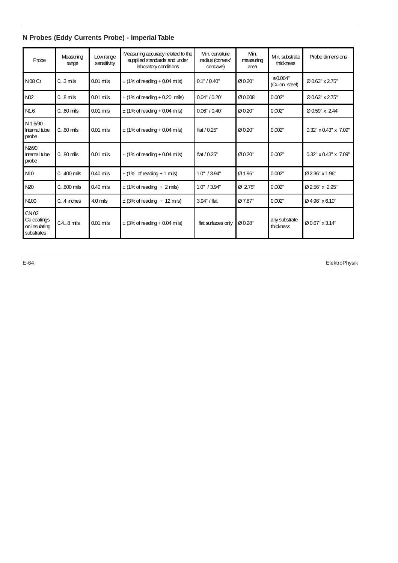|  |  | N Probes (Eddy Currents Probe) - Imperial Table |  |
|--|--|-------------------------------------------------|--|
|  |  |                                                 |  |

| Probe                                               | Measuring<br>range | Low range<br>sensitivity | Measuring accuracy related to the<br>supplied standards and under<br>laboratory conditions | Min. curvature<br>radius (convex/<br>concave) | Min.<br>measuring<br>area | Min. substrate<br>thickness    | Probe dimensions                  |
|-----------------------------------------------------|--------------------|--------------------------|--------------------------------------------------------------------------------------------|-----------------------------------------------|---------------------------|--------------------------------|-----------------------------------|
| <b>N.08 Cr</b>                                      | $03$ mils          | $0.01$ mils              | $\pm$ (1% of reading + 0.04 mils)                                                          | 0.1" / 0.40"                                  | Ø 0.20"                   | $\geq 0.004"$<br>(Cu on steel) | $Ø$ 0.63" x 2.75"                 |
| N <sub>02</sub>                                     | $08$ mils          | $0.01$ mils              | $\pm$ (1% of reading + 0.20 mils)                                                          | 0.04" / 0.20"                                 | Ø 0.008"                  | 0.002"                         | Ø 0.63" x 2.75"                   |
| N <sub>1.6</sub>                                    | $060$ mils         | $0.01$ mils              | $\pm$ (1% of reading + 0.04 mils)                                                          | 0.06" / 0.40"                                 | Ø 0.20"                   | 0.002"                         | Ø 0.59" x 2.44"                   |
| N 1.6/90<br>Internal tube<br>probe                  | $060$ mils         | $0.01$ mils              | $\pm$ (1% of reading + 0.04 mils)                                                          | flat $/ 0.25"$                                | Ø 0.20"                   | 0.002"                         | $0.32" \times 0.43" \times 7.09"$ |
| N <sub>2</sub> /90<br>Internal tube<br>probe        | $080$ mils         | $0.01$ mils              | $\pm$ (1% of reading + 0.04 mils)                                                          | flat $/ 0.25"$                                | Ø 0.20"                   | 0.002"                         | $0.32" \times 0.43" \times 7.09"$ |
| N <sub>10</sub>                                     | $0400$ mils        | $0.40$ mils              | $\pm$ (1% of reading + 1 mils)                                                             | 1.0" / 3.94"                                  | Ø1.96"                    | 0.002"                         | Ø 2.36" x 1.96"                   |
| N <sub>20</sub>                                     | $0800$ mils        | $0.40$ mils              | $\pm$ (1% of reading + 2 mils)                                                             | 1.0" / 3.94"                                  | Ø 2.75"                   | 0.002"                         | Ø 2.56" x 2.95"                   |
| N100                                                | $04$ inches        | $4.0$ mils               | $\pm$ (3% of reading + 12 mils)                                                            | 3.94" / flat                                  | Ø 7.87"                   | 0.002"                         | Ø4.96" x 6.10"                    |
| CN 02<br>Cu coatings<br>on insulating<br>substrates | $0.48$ mils        | $0.01$ mils              | $\pm$ (3% of reading + 0.04 mils)                                                          | flat surfaces only                            | Ø0.28"                    | any substrate<br>thickness     | Ø 0.67" x 3.14"                   |

E-64 ElektroPhysik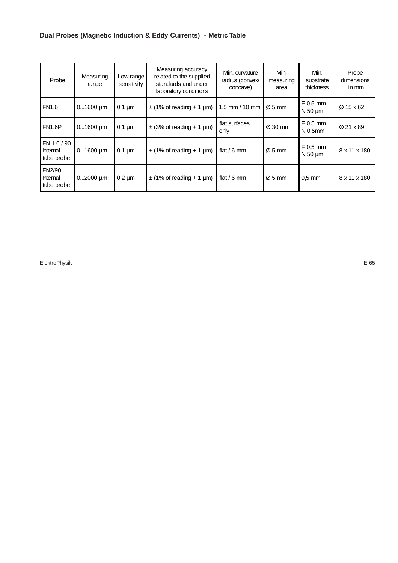# **Dual Probes (Magnetic Induction & Eddy Currents) - Metric Table**

| Probe                                 | Measuring<br>range | Low range<br>sensitivity | Measuring accuracy<br>related to the supplied<br>standards and under<br>laboratory conditions | Min. curvature<br>radius (convex/<br>concave) | Min.<br>measuring<br>area | Min.<br>substrate<br>thickness    | Probe<br>dimensions<br>in mm |
|---------------------------------------|--------------------|--------------------------|-----------------------------------------------------------------------------------------------|-----------------------------------------------|---------------------------|-----------------------------------|------------------------------|
| <b>FN1.6</b>                          | $01600$ um         | $0,1 \mu m$              | $\pm$ (1% of reading + 1 µm)                                                                  | 1,5 mm / 10 mm                                | $\varnothing$ 5 mm        | F 0,5 mm<br>$N$ 50 $\mu$ m        | Ø 15 x 62                    |
| <b>FN1.6P</b>                         | $01600 \mu m$      | $0,1 \mu m$              | $\pm$ (3% of reading + 1 µm)                                                                  | flat surfaces<br>only                         | $\varnothing$ 30 mm       | $F$ 0,5 mm<br>N <sub>0.5</sub> mm | Ø 21 x 89                    |
| FN 1.6 / 90<br>Internal<br>tube probe | $01600$ um         | $0.1 \,\mathrm{\upmu m}$ | $\pm$ (1% of reading + 1 µm)                                                                  | flat / 6 mm                                   | $\varnothing$ 5 mm        | $F$ 0,5 mm<br>$N$ 50 $\mu$ m      | 8 x 11 x 180                 |
| FN2/90<br>Internal<br>tube probe      | $02000$ um         | $0,2 \mu m$              | $\pm$ (1% of reading + 1 µm)                                                                  | flat / 6 mm                                   | $\varnothing$ 5 mm        | $0.5$ mm                          | 8 x 11 x 180                 |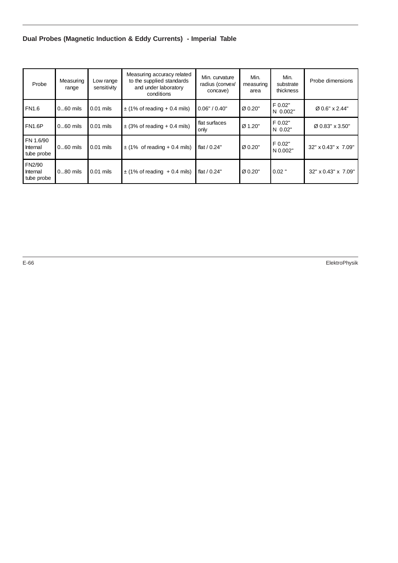# **Dual Probes (Magnetic Induction & Eddy Currents) - Imperial Table**

| Probe                               | Measuring<br>range | Low range<br>sensitivity | Measuring accuracy related<br>to the supplied standards<br>and under laboratory<br>conditions | Min. curvature<br>radius (convex/<br>concave) | Min.<br>measuring<br>area | Min.<br>substrate<br>thickness | Probe dimensions    |
|-------------------------------------|--------------------|--------------------------|-----------------------------------------------------------------------------------------------|-----------------------------------------------|---------------------------|--------------------------------|---------------------|
| FN <sub>1.6</sub>                   | $060$ mils         | $0.01$ mils              | $\pm$ (1% of reading + 0.4 mils)                                                              | 0.06" / 0.40"                                 | Ø 0.20"                   | F 0.02"<br>N 0.002"            | Ø 0.6" x 2.44"      |
| <b>FN1.6P</b>                       | $060$ mils         | $0.01$ mils              | $\pm$ (3% of reading + 0.4 mils)                                                              | flat surfaces<br>only                         | Ø 1.20"                   | F 0.02"<br>N 0.02"             | Ø 0.83" x 3.50"     |
| FN 1.6/90<br>Internal<br>tube probe | $060$ mils         | $0.01$ mils              | $\pm$ (1% of reading + 0.4 mils)                                                              | flat $/ 0.24"$                                | Ø 0.20"                   | F 0.02"<br>N 0.002"            | 32" x 0.43" x 7.09" |
| FN2/90<br>Internal<br>tube probe    | $080$ mils         | $0.01$ mils              | $\pm$ (1% of reading + 0.4 mils)                                                              | flat $/ 0.24"$                                | Ø 0.20"                   | $0.02$ "                       | 32" x 0.43" x 7.09" |

E-66 ElektroPhysik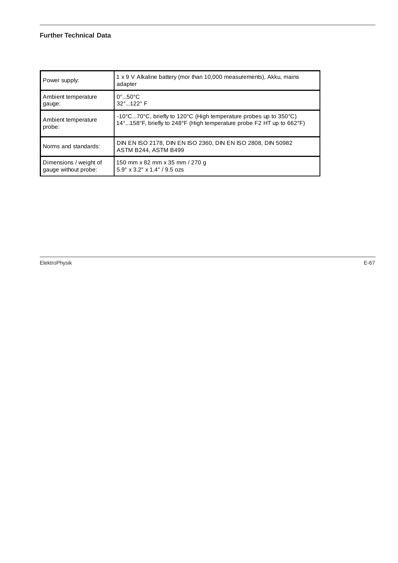#### **Further Technical Data**

| Power supply:          | 1 x 9 V Alkaline battery (mor than 10,000 measurements), Akku, mains<br>adapter                           |
|------------------------|-----------------------------------------------------------------------------------------------------------|
| Ambient temperature    | $0^\circ$ 50 $^\circ$ C                                                                                   |
| gauge:                 | 32° 122° F                                                                                                |
| Ambient temperature    | -10 $\degree$ C70 $\degree$ C, briefly to 120 $\degree$ C (High temperature probes up to 350 $\degree$ C) |
| probe:                 | 14°158°F, briefly to 248°F (High temperature probe F2 HT up to 662°F)                                     |
| Norms and standards:   | DIN EN ISO 2178, DIN EN ISO 2360, DIN EN ISO 2808, DIN 50982<br>ASTM B244, ASTM B499                      |
| Dimensions / weight of | 150 mm x 82 mm x 35 mm / 270 g                                                                            |
| gauge without probe:   | $5.9''$ x $3.2''$ x $1.4''$ / $9.5$ ozs                                                                   |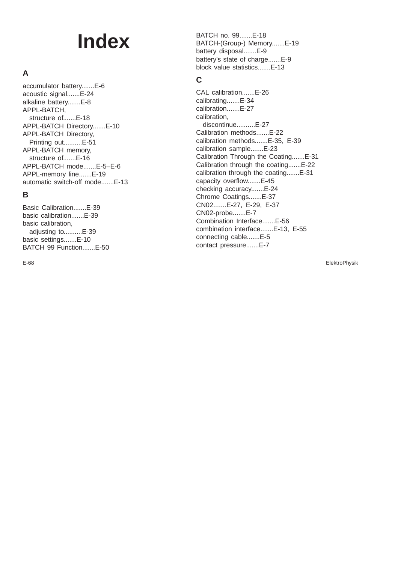# **Index**

# **A**

accumulator battery.......E-6 acoustic signal.......E-24 alkaline battery.......E-8 APPL-BATCH, structure of.......E-18 APPL-BATCH Directory.......E-10 APPL-BATCH Directory, Printing out..........E-51 APPL-BATCH memory, structure of.......E-16 APPL-BATCH mode.......E-5–E-6 APPL-memory line.......E-19 automatic switch-off mode.......E-13

# **B**

Basic Calibration.......E-39 basic calibration.......E-39 basic calibration, adjusting to..........E-39 basic settings.......E-10 BATCH 99 Function.......E-50

BATCH no. 99.......E-18 BATCH-(Group-) Memory.......E-19 battery disposal.......E-9 battery's state of charge.......E-9 block value statistics.......E-13

# **C**

CAL calibration.......E-26 calibrating.......E-34 calibration.......E-27 calibration, discontinue..........E-27 Calibration methods.......E-22 calibration methods.......E-35, E-39 calibration sample.......E-23 Calibration Through the Coating.......E-31 Calibration through the coating.......E-22 calibration through the coating.......E-31 capacity overflow.......E-45 checking accuracy.......E-24 Chrome Coatings.......E-37 CN02.......E-27, E-29, E-37 CN02-probe.......E-7 Combination Interface.......E-56 combination interface.......E-13, E-55 connecting cable.......E-5 contact pressure.......E-7

E-68 ElektroPhysik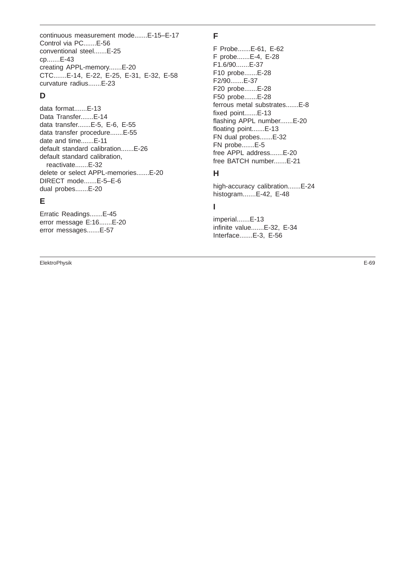continuous measurement mode.......E-15–E-17 Control via PC.......E-56 conventional steel.......E-25 cp.......E-43 creating APPL-memory.......E-20 CTC.......E-14, E-22, E-25, E-31, E-32, E-58 curvature radius.......E-23

#### **D**

data format.......E-13 Data Transfer.......E-14 data transfer.......E-5, E-6, E-55 data transfer procedure.......E-55 date and time.......E-11 default standard calibration.......E-26 default standard calibration, reactivate.......E-32 delete or select APPL-memories.......E-20 DIRECT mode.......E-5–E-6 dual probes.......E-20

#### **E**

Erratic Readings.......E-45 error message E:16.......E-20 error messages.......E-57

ElektroPhysik E-69

#### **F**

F Probe.......E-61, E-62 F probe.......E-4, E-28 F1.6/90.......E-37 F10 probe.......E-28 F2/90.......E-37 F20 probe.......E-28 F50 probe.......E-28 ferrous metal substrates.......E-8 fixed point.......E-13 flashing APPL number.......E-20 floating point.......E-13 FN dual probes.......E-32 FN probe.......E-5 free APPL address.......E-20 free BATCH number.......E-21

# **H**

high-accuracy calibration.......E-24 histogram.......E-42, E-48

## **I**

imperial.......E-13 infinite value.......E-32, E-34 Interface.......E-3, E-56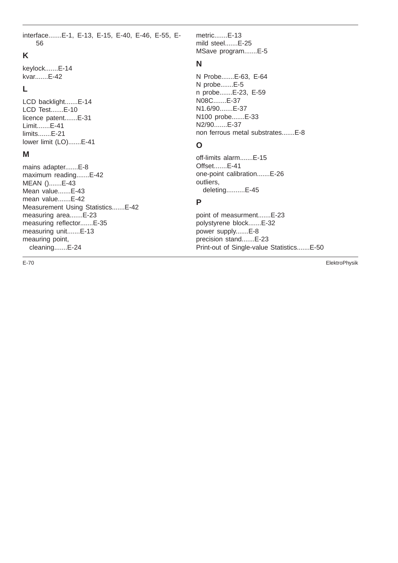interface.......E-1, E-13, E-15, E-40, E-46, E-55, E-56

## **K**

keylock.......E-14 kvar.......E-42

#### **L**

LCD backlight.......E-14 LCD Test.......E-10 licence patent.......E-31 Limit.......E-41 limits.......E-21 lower limit (LO).......E-41

#### **M**

mains adapter.......E-8 maximum reading.......E-42 MEAN ().......E-43 Mean value.......E-43 mean value.......E-42 Measurement Using Statistics.......E-42 measuring area.......E-23 measuring reflector.......E-35 measuring unit.......E-13 meauring point, cleaning.......E-24

metric.......E-13 mild steel.......E-25 MSave program.......E-5

#### **N**

N Probe.......E-63, E-64 N probe.......E-5 n probe.......E-23, E-59 N08C.......E-37 N1.6/90.......E-37 N100 probe.......E-33 N2/90.......E-37 non ferrous metal substrates.......E-8

## **O**

off-limits alarm.......E-15 Offset.......E-41 one-point calibration.......E-26 outliers, deleting..........E-45

## **P**

point of measurment.......E-23 polystyrene block.......E-32 power supply.......E-8 precision stand.......E-23 Print-out of Single-value Statistics.......E-50

E-70 ElektroPhysik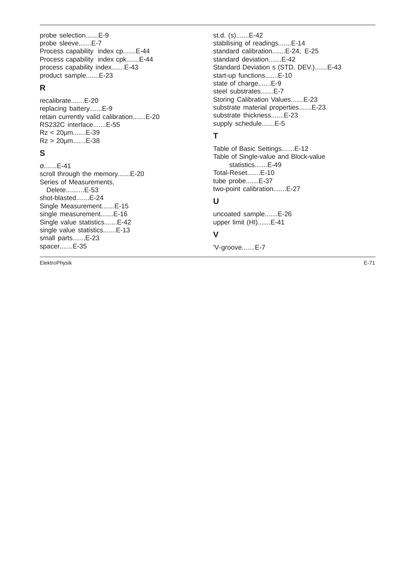probe selection.......E-9 probe sleeve.......E-7 Process capability index cp.......E-44 Process capability index cpk.......E-44 process capability index.......E-43 product sample.......E-23

## **R**

recalibrate.......E-20 replacing battery.......E-9 retain currently valid calibration.......E-20 RS232C interface.......E-55 Rz < 20µm.......E-39 Rz > 20µm.......E-38

## **S**

σ.......E-41 scroll through the memory.......E-20 Series of Measurements, Delete..........E-53 shot-blasted.......E-24 Single Measurement.......E-15 single measurement.......E-16 Single value statistics.......E-42 single value statistics.......E-13 small parts.......E-23 spacer.......E-35

st.d. (s).......E-42 stabilising of readings.......E-14 standard calibration.......E-24, E-25 standard deviation.......E-42 Standard Deviation s (STD. DEV.).......E-43 start-up functions.......E-10 state of charge.......E-9 steel substrates.......E-7 Storing Calibration Values.......E-23 substrate material properties.......E-23 substrate thickness.......E-23 supply schedule.......E-5

#### **T**

Table of Basic Settings.......E-12 Table of Single-value and Block-value statistics.......E-49 Total-Reset.......E-10 tube probe.......E-37 two-point calibration.......E-27

# **U**

uncoated sample.......E-26 upper limit (HI).......E-41

#### **V**

'V-groove.......E-7